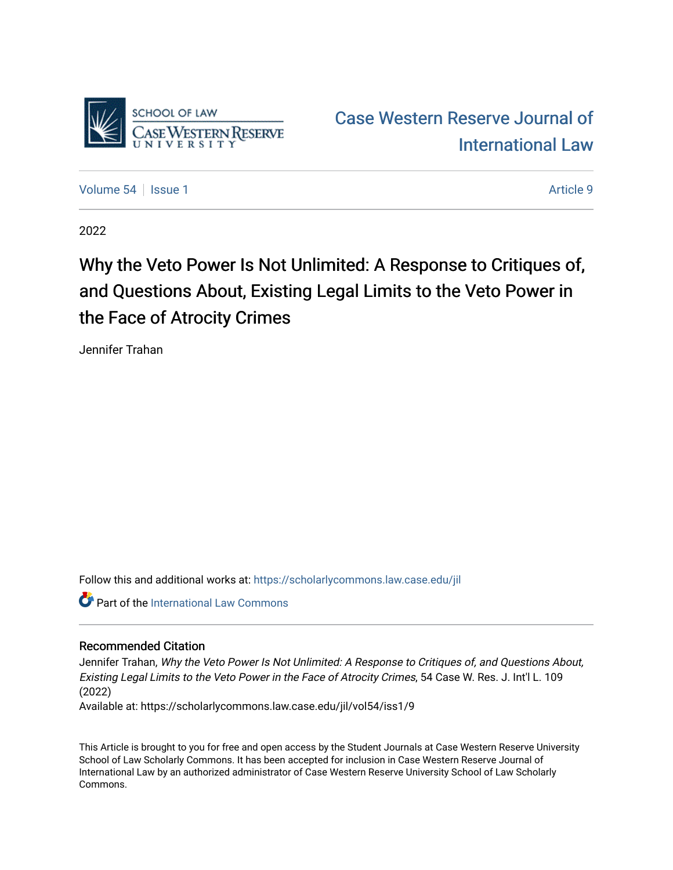

[Case Western Reserve Journal of](https://scholarlycommons.law.case.edu/jil)  [International Law](https://scholarlycommons.law.case.edu/jil) 

[Volume 54](https://scholarlycommons.law.case.edu/jil/vol54) Session 1 Article 9

2022

# Why the Veto Power Is Not Unlimited: A Response to Critiques of, and Questions About, Existing Legal Limits to the Veto Power in the Face of Atrocity Crimes

Jennifer Trahan

Follow this and additional works at: [https://scholarlycommons.law.case.edu/jil](https://scholarlycommons.law.case.edu/jil?utm_source=scholarlycommons.law.case.edu%2Fjil%2Fvol54%2Fiss1%2F9&utm_medium=PDF&utm_campaign=PDFCoverPages) 

**Part of the International Law Commons** 

# Recommended Citation

Jennifer Trahan, Why the Veto Power Is Not Unlimited: A Response to Critiques of, and Questions About, Existing Legal Limits to the Veto Power in the Face of Atrocity Crimes, 54 Case W. Res. J. Int'l L. 109 (2022)

Available at: https://scholarlycommons.law.case.edu/jil/vol54/iss1/9

This Article is brought to you for free and open access by the Student Journals at Case Western Reserve University School of Law Scholarly Commons. It has been accepted for inclusion in Case Western Reserve Journal of International Law by an authorized administrator of Case Western Reserve University School of Law Scholarly Commons.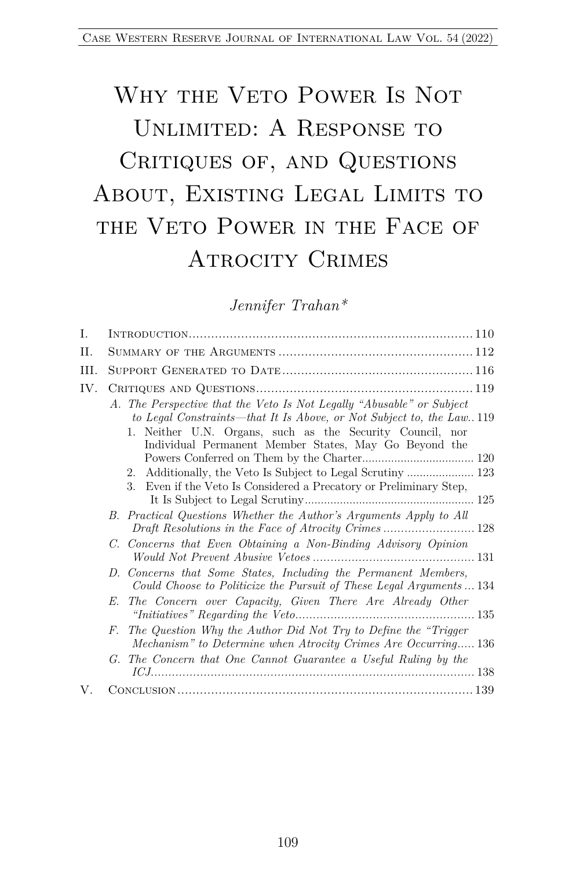# WHY THE VETO POWER IS NOT UNLIMITED: A RESPONSE TO CRITIQUES OF, AND QUESTIONS ABOUT, EXISTING LEGAL LIMITS TO THE VETO POWER IN THE FACE OF ATROCITY CRIMES

*Jennifer Trahan\**

| I.  |                                                                                                                                                                                                                                                                       |
|-----|-----------------------------------------------------------------------------------------------------------------------------------------------------------------------------------------------------------------------------------------------------------------------|
| Η.  |                                                                                                                                                                                                                                                                       |
| Ш.  |                                                                                                                                                                                                                                                                       |
| IV. |                                                                                                                                                                                                                                                                       |
|     | A. The Perspective that the Veto Is Not Legally "Abusable" or Subject<br>to Legal Constraints—that It Is Above, or Not Subject to, the Law. 119<br>1. Neither U.N. Organs, such as the Security Council, nor<br>Individual Permanent Member States, May Go Beyond the |
|     |                                                                                                                                                                                                                                                                       |
|     |                                                                                                                                                                                                                                                                       |
|     | Even if the Veto Is Considered a Precatory or Preliminary Step,<br>3.                                                                                                                                                                                                 |
|     | B. Practical Questions Whether the Author's Arguments Apply to All                                                                                                                                                                                                    |
|     | C. Concerns that Even Obtaining a Non-Binding Advisory Opinion                                                                                                                                                                                                        |
|     | D. Concerns that Some States, Including the Permanent Members,<br>Could Choose to Politicize the Pursuit of These Legal Arguments  134                                                                                                                                |
|     | The Concern over Capacity, Given There Are Already Other<br>E.                                                                                                                                                                                                        |
|     | The Question Why the Author Did Not Try to Define the "Trigger"<br>F.<br>Mechanism" to Determine when Atrocity Crimes Are Occurring 136                                                                                                                               |
|     | The Concern that One Cannot Guarantee a Useful Ruling by the<br>$G_{\rm g}$                                                                                                                                                                                           |
| V.  |                                                                                                                                                                                                                                                                       |
|     |                                                                                                                                                                                                                                                                       |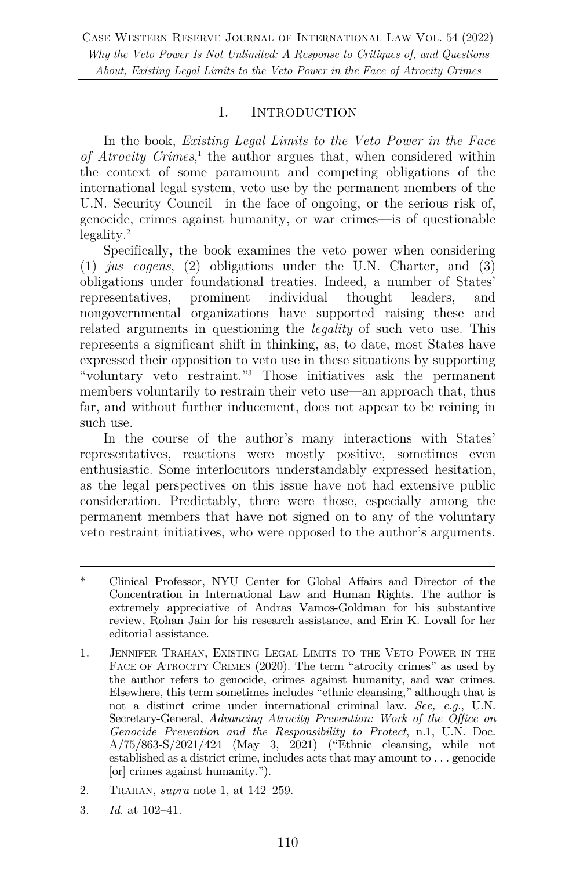#### I. INTRODUCTION

In the book, *Existing Legal Limits to the Veto Power in the Face of Atrocity Crimes*, <sup>1</sup> the author argues that, when considered within the context of some paramount and competing obligations of the international legal system, veto use by the permanent members of the U.N. Security Council—in the face of ongoing, or the serious risk of, genocide, crimes against humanity, or war crimes—is of questionable legality.2

Specifically, the book examines the veto power when considering (1) *jus cogens*, (2) obligations under the U.N. Charter, and (3) obligations under foundational treaties. Indeed, a number of States' representatives, prominent individual thought leaders, and nongovernmental organizations have supported raising these and related arguments in questioning the *legality* of such veto use. This represents a significant shift in thinking, as, to date, most States have expressed their opposition to veto use in these situations by supporting "voluntary veto restraint."3 Those initiatives ask the permanent members voluntarily to restrain their veto use—an approach that, thus far, and without further inducement, does not appear to be reining in such use.

In the course of the author's many interactions with States' representatives, reactions were mostly positive, sometimes even enthusiastic. Some interlocutors understandably expressed hesitation, as the legal perspectives on this issue have not had extensive public consideration. Predictably, there were those, especially among the permanent members that have not signed on to any of the voluntary veto restraint initiatives, who were opposed to the author's arguments.

- 2. TRAHAN, *supra* note 1, at 142–259.
- 3. *Id.* at 102–41.

<sup>\*</sup> Clinical Professor, NYU Center for Global Affairs and Director of the Concentration in International Law and Human Rights. The author is extremely appreciative of Andras Vamos-Goldman for his substantive review, Rohan Jain for his research assistance, and Erin K. Lovall for her editorial assistance.

<sup>1.</sup> JENNIFER TRAHAN, EXISTING LEGAL LIMITS TO THE VETO POWER IN THE FACE OF ATROCITY CRIMES (2020). The term "atrocity crimes" as used by the author refers to genocide, crimes against humanity, and war crimes. Elsewhere, this term sometimes includes "ethnic cleansing," although that is not a distinct crime under international criminal law. *See, e.g.*, U.N. Secretary-General, *Advancing Atrocity Prevention: Work of the Office on Genocide Prevention and the Responsibility to Protect*, n.1, U.N. Doc. A/75/863-S/2021/424 (May 3, 2021) ("Ethnic cleansing, while not established as a district crime, includes acts that may amount to . . . genocide [or] crimes against humanity.").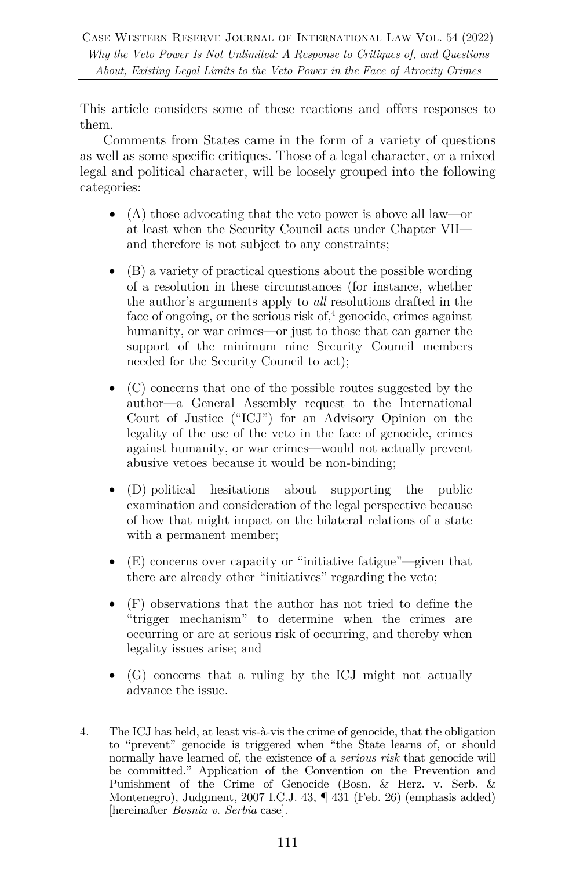This article considers some of these reactions and offers responses to them.

Comments from States came in the form of a variety of questions as well as some specific critiques. Those of a legal character, or a mixed legal and political character, will be loosely grouped into the following categories:

- (A) those advocating that the veto power is above all law—or at least when the Security Council acts under Chapter VII and therefore is not subject to any constraints;
- (B) a variety of practical questions about the possible wording of a resolution in these circumstances (for instance, whether the author's arguments apply to *all* resolutions drafted in the face of ongoing, or the serious risk of, $4$  genocide, crimes against humanity, or war crimes—or just to those that can garner the support of the minimum nine Security Council members needed for the Security Council to act);
- (C) concerns that one of the possible routes suggested by the author—a General Assembly request to the International Court of Justice ("ICJ") for an Advisory Opinion on the legality of the use of the veto in the face of genocide, crimes against humanity, or war crimes—would not actually prevent abusive vetoes because it would be non-binding;
- (D) political hesitations about supporting the public examination and consideration of the legal perspective because of how that might impact on the bilateral relations of a state with a permanent member;
- (E) concerns over capacity or "initiative fatigue"—given that there are already other "initiatives" regarding the veto;
- (F) observations that the author has not tried to define the "trigger mechanism" to determine when the crimes are occurring or are at serious risk of occurring, and thereby when legality issues arise; and
- (G) concerns that a ruling by the ICJ might not actually advance the issue.

<sup>4.</sup> The ICJ has held, at least vis-à-vis the crime of genocide, that the obligation to "prevent" genocide is triggered when "the State learns of, or should normally have learned of, the existence of a *serious risk* that genocide will be committed." Application of the Convention on the Prevention and Punishment of the Crime of Genocide (Bosn. & Herz. v. Serb. & Montenegro), Judgment, 2007 I.C.J. 43, ¶ 431 (Feb. 26) (emphasis added) [hereinafter *Bosnia v. Serbia* case].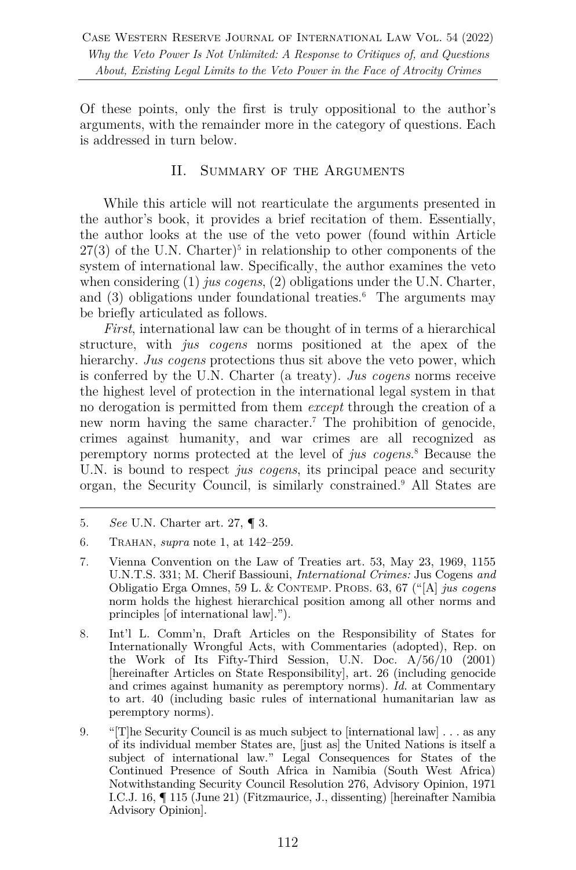Of these points, only the first is truly oppositional to the author's arguments, with the remainder more in the category of questions. Each is addressed in turn below.

### II. SUMMARY OF THE ARGUMENTS

While this article will not rearticulate the arguments presented in the author's book, it provides a brief recitation of them. Essentially, the author looks at the use of the veto power (found within Article  $27(3)$  of the U.N. Charter)<sup>5</sup> in relationship to other components of the system of international law. Specifically, the author examines the veto when considering (1) *jus cogens*, (2) obligations under the U.N. Charter, and (3) obligations under foundational treaties.<sup>6</sup> The arguments may be briefly articulated as follows.

*First*, international law can be thought of in terms of a hierarchical structure, with *jus cogens* norms positioned at the apex of the hierarchy. *Jus cogens* protections thus sit above the veto power, which is conferred by the U.N. Charter (a treaty). *Jus cogens* norms receive the highest level of protection in the international legal system in that no derogation is permitted from them *except* through the creation of a new norm having the same character.7 The prohibition of genocide, crimes against humanity, and war crimes are all recognized as peremptory norms protected at the level of *jus cogens*. <sup>8</sup> Because the U.N. is bound to respect *jus cogens*, its principal peace and security organ, the Security Council, is similarly constrained.9 All States are

- 8. Int'l L. Comm'n, Draft Articles on the Responsibility of States for Internationally Wrongful Acts, with Commentaries (adopted), Rep. on the Work of Its Fifty-Third Session, U.N. Doc. A/56/10 (2001) [hereinafter Articles on State Responsibility], art. 26 (including genocide and crimes against humanity as peremptory norms). *Id.* at Commentary to art. 40 (including basic rules of international humanitarian law as peremptory norms).
- 9. "[T]he Security Council is as much subject to [international law]  $\dots$  as any of its individual member States are, [just as] the United Nations is itself a subject of international law." Legal Consequences for States of the Continued Presence of South Africa in Namibia (South West Africa) Notwithstanding Security Council Resolution 276, Advisory Opinion, 1971 I.C.J. 16, ¶ 115 (June 21) (Fitzmaurice, J., dissenting) [hereinafter Namibia Advisory Opinion].

<sup>5.</sup> *See* U.N. Charter art. 27, ¶ 3.

<sup>6.</sup> TRAHAN, *supra* note 1, at 142–259.

<sup>7.</sup> Vienna Convention on the Law of Treaties art. 53, May 23, 1969, 1155 U.N.T.S. 331; M. Cherif Bassiouni, *International Crimes:* Jus Cogens *and*  Obligatio Erga Omnes, 59 L. & CONTEMP. PROBS. 63, 67 ("[A] *jus cogens* norm holds the highest hierarchical position among all other norms and principles [of international law].").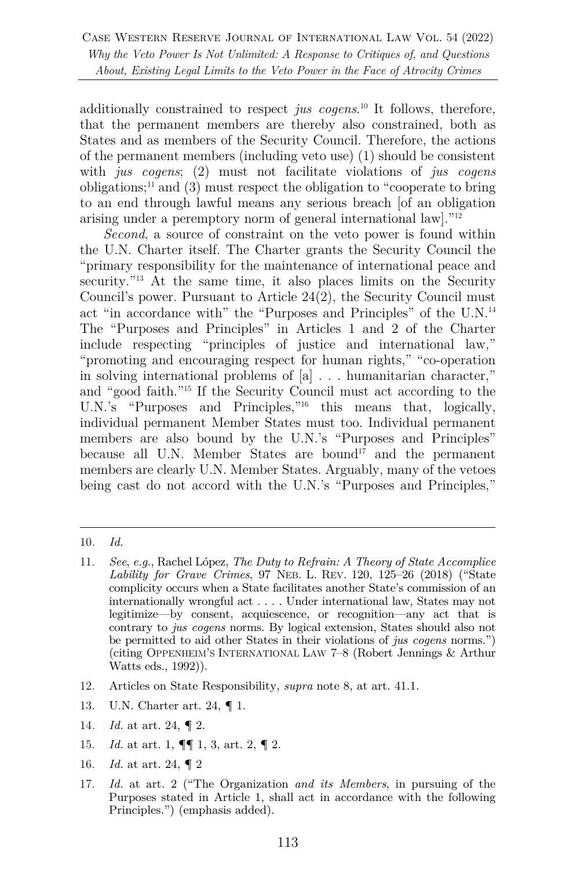additionally constrained to respect *jus cogens*. <sup>10</sup> It follows, therefore, that the permanent members are thereby also constrained, both as States and as members of the Security Council. Therefore, the actions of the permanent members (including veto use) (1) should be consistent with *jus cogens*; (2) must not facilitate violations of *jus cogens* obligations;<sup>11</sup> and  $(3)$  must respect the obligation to "cooperate to bring" to an end through lawful means any serious breach [of an obligation arising under a peremptory norm of general international law]."12

*Second*, a source of constraint on the veto power is found within the U.N. Charter itself. The Charter grants the Security Council the "primary responsibility for the maintenance of international peace and security.<sup>"13</sup> At the same time, it also places limits on the Security Council's power. Pursuant to Article 24(2), the Security Council must act "in accordance with" the "Purposes and Principles" of the U.N.14 The "Purposes and Principles" in Articles 1 and 2 of the Charter include respecting "principles of justice and international law," "promoting and encouraging respect for human rights," "co-operation in solving international problems of [a] . . . humanitarian character," and "good faith."15 If the Security Council must act according to the U.N.'s "Purposes and Principles,"16 this means that, logically, individual permanent Member States must too. Individual permanent members are also bound by the U.N.'s "Purposes and Principles" because all U.N. Member States are bound<sup>17</sup> and the permanent members are clearly U.N. Member States. Arguably, many of the vetoes being cast do not accord with the U.N.'s "Purposes and Principles,"

- 12. Articles on State Responsibility, *supra* note 8, at art. 41.1.
- 13. U.N. Charter art. 24, ¶ 1.
- 14*. Id.* at art. 24, ¶ 2.
- 15. *Id.* at art. 1, ¶¶ 1, 3, art. 2, ¶ 2.
- 16. *Id.* at art. 24, ¶ 2
- 17. *Id.* at art. 2 ("The Organization *and its Members*, in pursuing of the Purposes stated in Article 1, shall act in accordance with the following Principles.") (emphasis added).

<sup>10</sup>*. Id.*

<sup>11.</sup> *See*, *e.g.*, Rachel López, *The Duty to Refrain: A Theory of State Accomplice Lability for Grave Crimes*, 97 NEB. L. REV. 120, 125–26 (2018) ("State complicity occurs when a State facilitates another State's commission of an internationally wrongful act . . . . Under international law, States may not legitimize—by consent, acquiescence, or recognition—any act that is contrary to *jus cogens* norms. By logical extension, States should also not be permitted to aid other States in their violations of *jus cogens* norms.") (citing OPPENHEIM'S INTERNATIONAL LAW 7–8 (Robert Jennings & Arthur Watts eds., 1992)).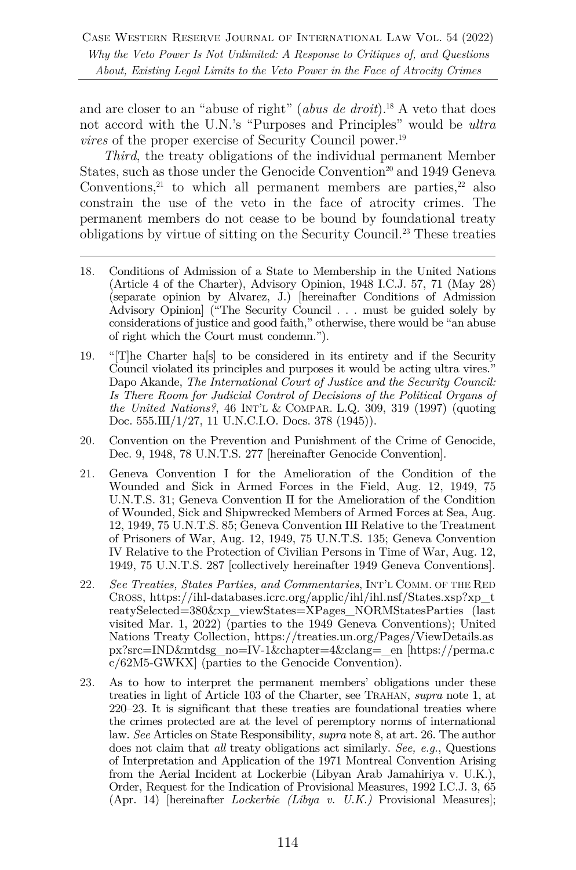and are closer to an "abuse of right" (*abus de droit*).18 A veto that does not accord with the U.N.'s "Purposes and Principles" would be *ultra vires* of the proper exercise of Security Council power.<sup>19</sup>

*Third*, the treaty obligations of the individual permanent Member States, such as those under the Genocide Convention<sup>20</sup> and 1949 Geneva Conventions,<sup>21</sup> to which all permanent members are parties,<sup>22</sup> also constrain the use of the veto in the face of atrocity crimes. The permanent members do not cease to be bound by foundational treaty obligations by virtue of sitting on the Security Council.23 These treaties

- 18. Conditions of Admission of a State to Membership in the United Nations (Article 4 of the Charter), Advisory Opinion, 1948 I.C.J. 57, 71 (May 28) (separate opinion by Alvarez, J.) [hereinafter Conditions of Admission Advisory Opinion] ("The Security Council . . . must be guided solely by considerations of justice and good faith," otherwise, there would be "an abuse of right which the Court must condemn.").
- 19. "[T]he Charter ha[s] to be considered in its entirety and if the Security Council violated its principles and purposes it would be acting ultra vires." Dapo Akande, *The International Court of Justice and the Security Council:*  Is There Room for Judicial Control of Decisions of the Political Organs of *the United Nations?*, 46 INT'L & COMPAR. L.Q. 309, 319 (1997) (quoting Doc. 555.III/1/27, 11 U.N.C.I.O. Docs. 378 (1945)).
- 20. Convention on the Prevention and Punishment of the Crime of Genocide, Dec. 9, 1948, 78 U.N.T.S. 277 [hereinafter Genocide Convention].
- 21. Geneva Convention I for the Amelioration of the Condition of the Wounded and Sick in Armed Forces in the Field, Aug. 12, 1949, 75 U.N.T.S. 31; Geneva Convention II for the Amelioration of the Condition of Wounded, Sick and Shipwrecked Members of Armed Forces at Sea, Aug. 12, 1949, 75 U.N.T.S. 85; Geneva Convention III Relative to the Treatment of Prisoners of War, Aug. 12, 1949, 75 U.N.T.S. 135; Geneva Convention IV Relative to the Protection of Civilian Persons in Time of War, Aug. 12, 1949, 75 U.N.T.S. 287 [collectively hereinafter 1949 Geneva Conventions].
- 22. *See Treaties, States Parties, and Commentaries*, INT'L COMM. OF THE RED CROSS, https://ihl-databases.icrc.org/applic/ihl/ihl.nsf/States.xsp?xp\_t reatySelected=380&xp\_viewStates=XPages\_NORMStatesParties (last visited Mar. 1, 2022) (parties to the 1949 Geneva Conventions); United Nations Treaty Collection, https://treaties.un.org/Pages/ViewDetails.as px?src=IND&mtdsg\_no=IV-1&chapter=4&clang=\_en [https://perma.c c/62M5-GWKX] (parties to the Genocide Convention).
- 23. As to how to interpret the permanent members' obligations under these treaties in light of Article 103 of the Charter, see TRAHAN, *supra* note 1, at 220–23. It is significant that these treaties are foundational treaties where the crimes protected are at the level of peremptory norms of international law. *See* Articles on State Responsibility, *supra* note 8, at art. 26. The author does not claim that *all* treaty obligations act similarly. *See, e.g.*, Questions of Interpretation and Application of the 1971 Montreal Convention Arising from the Aerial Incident at Lockerbie (Libyan Arab Jamahiriya v. U.K.), Order, Request for the Indication of Provisional Measures, 1992 I.C.J. 3, 65 (Apr. 14) [hereinafter *Lockerbie (Libya v. U.K.)* Provisional Measures];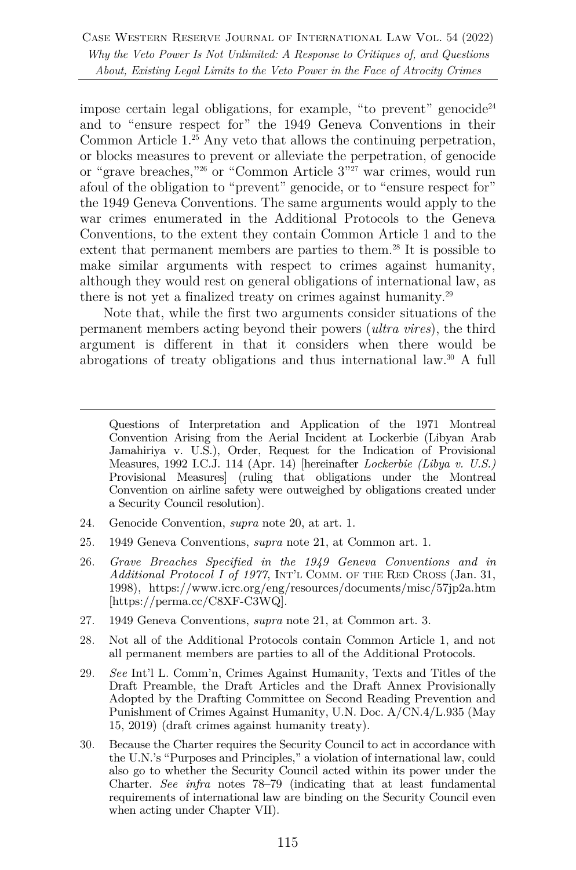impose certain legal obligations, for example, "to prevent" genocide<sup>24</sup> and to "ensure respect for" the 1949 Geneva Conventions in their Common Article 1.25 Any veto that allows the continuing perpetration, or blocks measures to prevent or alleviate the perpetration, of genocide or "grave breaches,"26 or "Common Article 3"27 war crimes, would run afoul of the obligation to "prevent" genocide, or to "ensure respect for" the 1949 Geneva Conventions. The same arguments would apply to the war crimes enumerated in the Additional Protocols to the Geneva Conventions, to the extent they contain Common Article 1 and to the extent that permanent members are parties to them.<sup>28</sup> It is possible to make similar arguments with respect to crimes against humanity, although they would rest on general obligations of international law, as there is not yet a finalized treaty on crimes against humanity.29

Note that, while the first two arguments consider situations of the permanent members acting beyond their powers (*ultra vires*), the third argument is different in that it considers when there would be abrogations of treaty obligations and thus international law.30 A full

- 24. Genocide Convention, *supra* note 20, at art. 1.
- 25. 1949 Geneva Conventions, *supra* note 21, at Common art. 1.
- 26. *Grave Breaches Specified in the 1949 Geneva Conventions and in Additional Protocol I of 1977*, INT'L COMM. OF THE RED CROSS (Jan. 31, 1998), https://www.icrc.org/eng/resources/documents/misc/57jp2a.htm [https://perma.cc/C8XF-C3WQ].
- 27. 1949 Geneva Conventions, *supra* note 21, at Common art. 3.
- 28. Not all of the Additional Protocols contain Common Article 1, and not all permanent members are parties to all of the Additional Protocols.
- 29. *See* Int'l L. Comm'n, Crimes Against Humanity, Texts and Titles of the Draft Preamble, the Draft Articles and the Draft Annex Provisionally Adopted by the Drafting Committee on Second Reading Prevention and Punishment of Crimes Against Humanity, U.N. Doc. A/CN.4/L.935 (May 15, 2019) (draft crimes against humanity treaty).
- 30. Because the Charter requires the Security Council to act in accordance with the U.N.'s "Purposes and Principles," a violation of international law, could also go to whether the Security Council acted within its power under the Charter. *See infra* notes 78–79 (indicating that at least fundamental requirements of international law are binding on the Security Council even when acting under Chapter VII).

Questions of Interpretation and Application of the 1971 Montreal Convention Arising from the Aerial Incident at Lockerbie (Libyan Arab Jamahiriya v. U.S.), Order, Request for the Indication of Provisional Measures, 1992 I.C.J. 114 (Apr. 14) [hereinafter *Lockerbie (Libya v. U.S.)* Provisional Measures] (ruling that obligations under the Montreal Convention on airline safety were outweighed by obligations created under a Security Council resolution).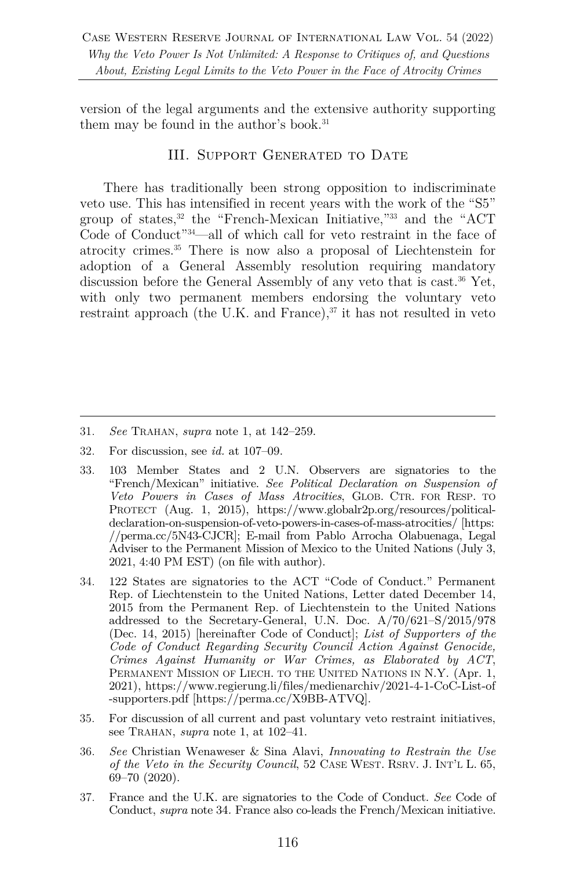version of the legal arguments and the extensive authority supporting them may be found in the author's book.<sup>31</sup>

#### III. Support Generated to Date

There has traditionally been strong opposition to indiscriminate veto use. This has intensified in recent years with the work of the "S5" group of states,32 the "French-Mexican Initiative,"33 and the "ACT Code of Conduct"34—all of which call for veto restraint in the face of atrocity crimes.35 There is now also a proposal of Liechtenstein for adoption of a General Assembly resolution requiring mandatory discussion before the General Assembly of any veto that is cast.<sup>36</sup> Yet, with only two permanent members endorsing the voluntary veto restraint approach (the U.K. and France), $37$  it has not resulted in veto

- 33. 103 Member States and 2 U.N. Observers are signatories to the "French/Mexican" initiative. *See Political Declaration on Suspension of Veto Powers in Cases of Mass Atrocities*, GLOB. CTR. FOR RESP. TO PROTECT (Aug. 1, 2015), https://www.globalr2p.org/resources/politicaldeclaration-on-suspension-of-veto-powers-in-cases-of-mass-atrocities/ [https: //perma.cc/5N43-CJCR]; E-mail from Pablo Arrocha Olabuenaga, Legal Adviser to the Permanent Mission of Mexico to the United Nations (July 3, 2021, 4:40 PM EST) (on file with author).
- 34. 122 States are signatories to the ACT "Code of Conduct." Permanent Rep. of Liechtenstein to the United Nations, Letter dated December 14, 2015 from the Permanent Rep. of Liechtenstein to the United Nations addressed to the Secretary-General, U.N. Doc. A/70/621–S/2015/978 (Dec. 14, 2015) [hereinafter Code of Conduct]; *List of Supporters of the Code of Conduct Regarding Security Council Action Against Genocide, Crimes Against Humanity or War Crimes, as Elaborated by ACT*, PERMANENT MISSION OF LIECH. TO THE UNITED NATIONS IN N.Y. (Apr. 1, 2021), https://www.regierung.li/files/medienarchiv/2021-4-1-CoC-List-of -supporters.pdf [https://perma.cc/X9BB-ATVQ].
- 35. For discussion of all current and past voluntary veto restraint initiatives, see TRAHAN, *supra* note 1, at 102–41.
- 36. *See* Christian Wenaweser & Sina Alavi, *Innovating to Restrain the Use of the Veto in the Security Council*, 52 CASE WEST. RSRV. J. INT'L L. 65, 69–70 (2020).
- 37. France and the U.K. are signatories to the Code of Conduct. *See* Code of Conduct, *supra* note 34*.* France also co-leads the French/Mexican initiative.

<sup>31.</sup> *See* TRAHAN, *supra* note 1, at 142–259.

<sup>32.</sup> For discussion, see *id.* at 107–09.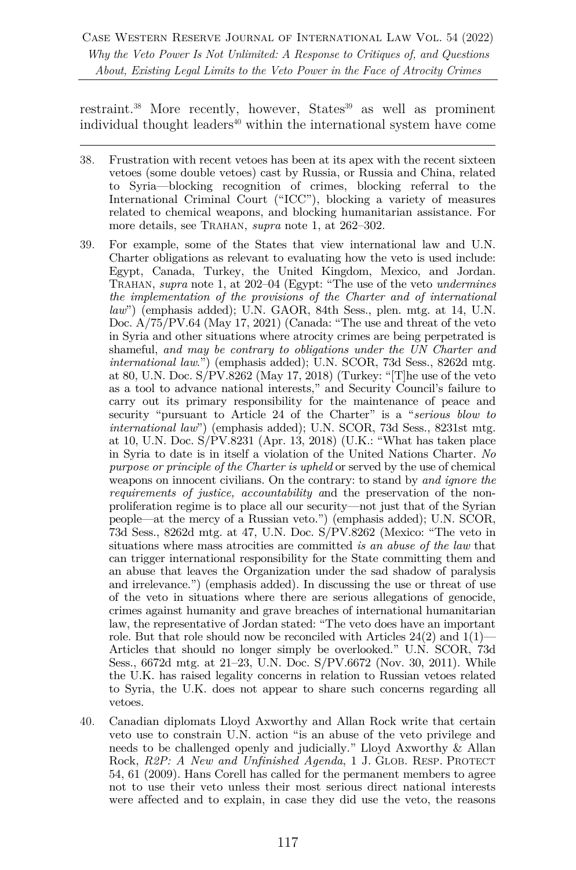restraint.<sup>38</sup> More recently, however, States<sup>39</sup> as well as prominent individual thought leaders<sup>40</sup> within the international system have come

- 38. Frustration with recent vetoes has been at its apex with the recent sixteen vetoes (some double vetoes) cast by Russia, or Russia and China, related to Syria—blocking recognition of crimes, blocking referral to the International Criminal Court ("ICC"), blocking a variety of measures related to chemical weapons, and blocking humanitarian assistance. For more details, see TRAHAN, *supra* note 1, at 262–302.
- 39. For example, some of the States that view international law and U.N. Charter obligations as relevant to evaluating how the veto is used include: Egypt, Canada, Turkey, the United Kingdom, Mexico, and Jordan. TRAHAN, *supra* note 1, at 202–04 (Egypt: "The use of the veto *undermines the implementation of the provisions of the Charter and of international law*") (emphasis added); U.N. GAOR, 84th Sess., plen. mtg. at 14, U.N. Doc. A/75/PV.64 (May 17, 2021) (Canada: "The use and threat of the veto in Syria and other situations where atrocity crimes are being perpetrated is shameful, *and may be contrary to obligations under the UN Charter and international law*.") (emphasis added); U.N. SCOR, 73d Sess., 8262d mtg. at 80, U.N. Doc. S/PV.8262 (May 17, 2018) (Turkey: "[T]he use of the veto as a tool to advance national interests," and Security Council's failure to carry out its primary responsibility for the maintenance of peace and security "pursuant to Article 24 of the Charter" is a "*serious blow to international law*") (emphasis added); U.N. SCOR, 73d Sess., 8231st mtg. at 10, U.N. Doc. S/PV.8231 (Apr. 13, 2018) (U.K.: "What has taken place in Syria to date is in itself a violation of the United Nations Charter. *No purpose or principle of the Charter is upheld* or served by the use of chemical weapons on innocent civilians. On the contrary: to stand by *and ignore the requirements of justice, accountability a*nd the preservation of the nonproliferation regime is to place all our security—not just that of the Syrian people—at the mercy of a Russian veto.") (emphasis added); U.N. SCOR, 73d Sess., 8262d mtg. at 47, U.N. Doc. S/PV.8262 (Mexico: "The veto in situations where mass atrocities are committed *is an abuse of the law* that can trigger international responsibility for the State committing them and an abuse that leaves the Organization under the sad shadow of paralysis and irrelevance.") (emphasis added). In discussing the use or threat of use of the veto in situations where there are serious allegations of genocide, crimes against humanity and grave breaches of international humanitarian law, the representative of Jordan stated: "The veto does have an important role. But that role should now be reconciled with Articles  $24(2)$  and  $1(1)$ Articles that should no longer simply be overlooked." U.N. SCOR, 73d Sess., 6672d mtg. at 21–23, U.N. Doc. S/PV.6672 (Nov. 30, 2011). While the U.K. has raised legality concerns in relation to Russian vetoes related to Syria, the U.K. does not appear to share such concerns regarding all vetoes.
- 40. Canadian diplomats Lloyd Axworthy and Allan Rock write that certain veto use to constrain U.N. action "is an abuse of the veto privilege and needs to be challenged openly and judicially." Lloyd Axworthy  $\&$  Allan Rock, *R2P: A New and Unfinished Agenda*, 1 J. GLOB. RESP. PROTECT 54, 61 (2009). Hans Corell has called for the permanent members to agree not to use their veto unless their most serious direct national interests were affected and to explain, in case they did use the veto, the reasons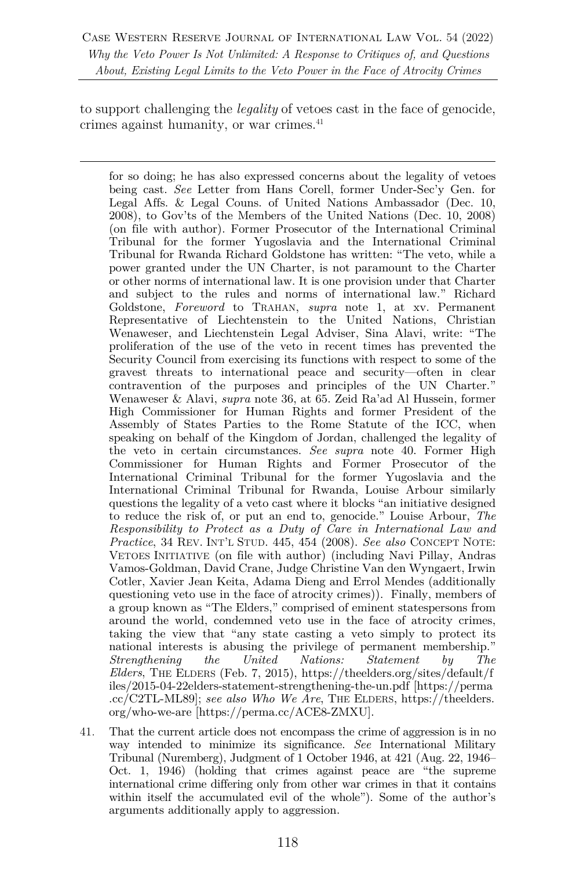to support challenging the *legality* of vetoes cast in the face of genocide, crimes against humanity, or war crimes.<sup>41</sup>

for so doing; he has also expressed concerns about the legality of vetoes being cast. *See* Letter from Hans Corell, former Under-Sec'y Gen. for Legal Affs. & Legal Couns. of United Nations Ambassador (Dec. 10, 2008), to Gov'ts of the Members of the United Nations (Dec. 10, 2008) (on file with author). Former Prosecutor of the International Criminal Tribunal for the former Yugoslavia and the International Criminal Tribunal for Rwanda Richard Goldstone has written: "The veto, while a power granted under the UN Charter, is not paramount to the Charter or other norms of international law. It is one provision under that Charter and subject to the rules and norms of international law." Richard Goldstone, *Foreword* to TRAHAN, *supra* note 1, at xv. Permanent Representative of Liechtenstein to the United Nations, Christian Wenaweser, and Liechtenstein Legal Adviser, Sina Alavi, write: "The proliferation of the use of the veto in recent times has prevented the Security Council from exercising its functions with respect to some of the gravest threats to international peace and security—often in clear contravention of the purposes and principles of the UN Charter." Wenaweser & Alavi, *supra* note 36, at 65. Zeid Ra'ad Al Hussein, former High Commissioner for Human Rights and former President of the Assembly of States Parties to the Rome Statute of the ICC, when speaking on behalf of the Kingdom of Jordan, challenged the legality of the veto in certain circumstances. *See supra* note 40. Former High Commissioner for Human Rights and Former Prosecutor of the International Criminal Tribunal for the former Yugoslavia and the International Criminal Tribunal for Rwanda, Louise Arbour similarly questions the legality of a veto cast where it blocks "an initiative designed to reduce the risk of, or put an end to, genocide." Louise Arbour, *The Responsibility to Protect as a Duty of Care in International Law and Practice*, 34 REV. INT'L STUD. 445, 454 (2008). *See also* CONCEPT NOTE: VETOES INITIATIVE (on file with author) (including Navi Pillay, Andras Vamos-Goldman, David Crane, Judge Christine Van den Wyngaert, Irwin Cotler, Xavier Jean Keita, Adama Dieng and Errol Mendes (additionally questioning veto use in the face of atrocity crimes)). Finally, members of a group known as "The Elders," comprised of eminent statespersons from around the world, condemned veto use in the face of atrocity crimes, taking the view that "any state casting a veto simply to protect its national interests is abusing the privilege of permanent membership." *Strengthening the United Nations: Statement by The Elders*, THE ELDERS (Feb. 7, 2015), https://theelders.org/sites/default/f iles/2015-04-22elders-statement-strengthening-the-un.pdf [https://perma .cc/C2TL-ML89]; *see also Who We Are*, THE ELDERS, https://theelders. org/who-we-are [https://perma.cc/ACE8-ZMXU].

41. That the current article does not encompass the crime of aggression is in no way intended to minimize its significance. *See* International Military Tribunal (Nuremberg), Judgment of 1 October 1946, at 421 (Aug. 22, 1946– Oct. 1, 1946) (holding that crimes against peace are "the supreme international crime differing only from other war crimes in that it contains within itself the accumulated evil of the whole"). Some of the author's arguments additionally apply to aggression.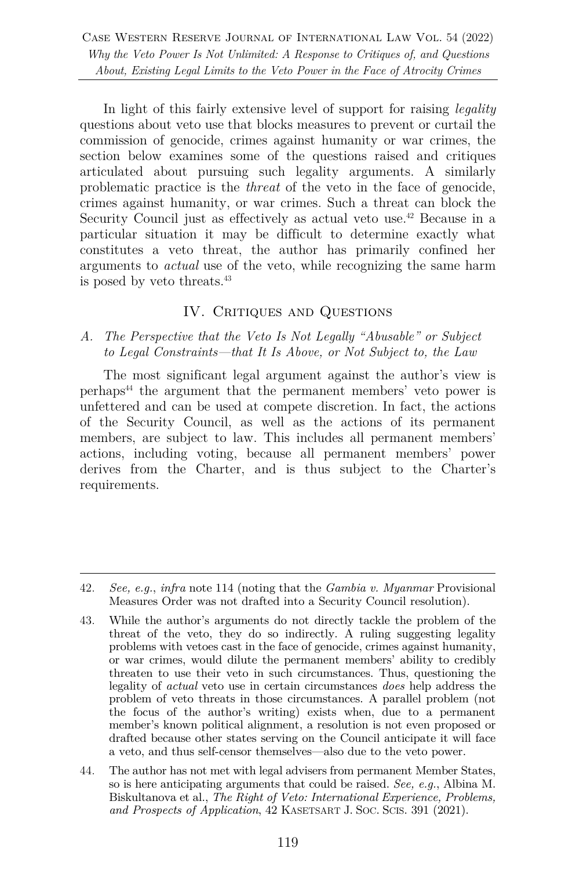In light of this fairly extensive level of support for raising *legality* questions about veto use that blocks measures to prevent or curtail the commission of genocide, crimes against humanity or war crimes, the section below examines some of the questions raised and critiques articulated about pursuing such legality arguments. A similarly problematic practice is the *threat* of the veto in the face of genocide, crimes against humanity, or war crimes. Such a threat can block the Security Council just as effectively as actual veto use.<sup>42</sup> Because in a particular situation it may be difficult to determine exactly what constitutes a veto threat, the author has primarily confined her arguments to *actual* use of the veto, while recognizing the same harm is posed by veto threats.43

# IV. CRITIQUES AND QUESTIONS

#### *A. The Perspective that the Veto Is Not Legally "Abusable" or Subject to Legal Constraints—that It Is Above, or Not Subject to, the Law*

The most significant legal argument against the author's view is perhaps44 the argument that the permanent members' veto power is unfettered and can be used at compete discretion. In fact, the actions of the Security Council, as well as the actions of its permanent members, are subject to law. This includes all permanent members' actions, including voting, because all permanent members' power derives from the Charter, and is thus subject to the Charter's requirements.

<sup>42.</sup> *See, e.g.*, *infra* note 114 (noting that the *Gambia v. Myanmar* Provisional Measures Order was not drafted into a Security Council resolution).

<sup>43.</sup> While the author's arguments do not directly tackle the problem of the threat of the veto, they do so indirectly. A ruling suggesting legality problems with vetoes cast in the face of genocide, crimes against humanity, or war crimes, would dilute the permanent members' ability to credibly threaten to use their veto in such circumstances. Thus, questioning the legality of *actual* veto use in certain circumstances *does* help address the problem of veto threats in those circumstances. A parallel problem (not the focus of the author's writing) exists when, due to a permanent member's known political alignment, a resolution is not even proposed or drafted because other states serving on the Council anticipate it will face a veto, and thus self-censor themselves—also due to the veto power.

<sup>44.</sup> The author has not met with legal advisers from permanent Member States, so is here anticipating arguments that could be raised. *See, e.g.*, Albina M. Biskultanova et al., *The Right of Veto: International Experience, Problems, and Prospects of Application*, 42 KASETSART J. SOC. SCIS. 391 (2021).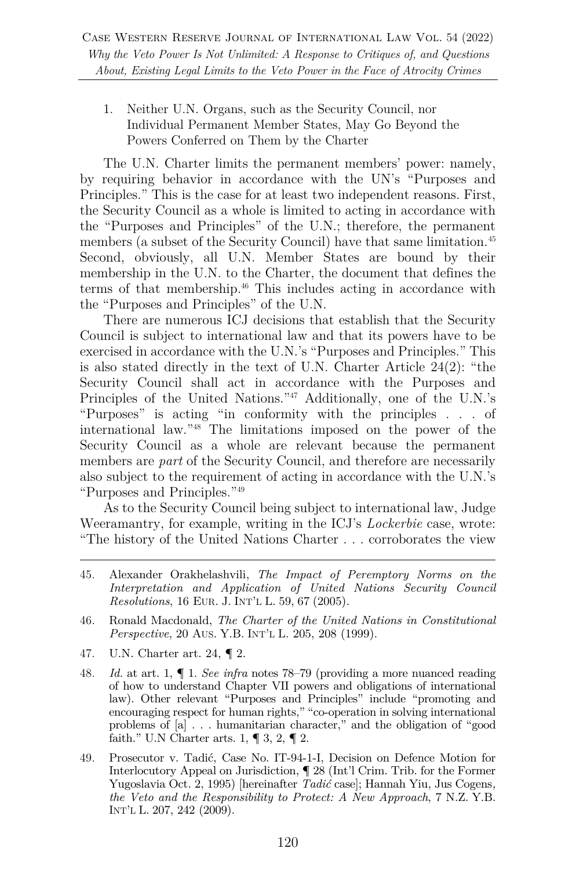1. Neither U.N. Organs, such as the Security Council, nor Individual Permanent Member States, May Go Beyond the Powers Conferred on Them by the Charter

The U.N. Charter limits the permanent members' power: namely, by requiring behavior in accordance with the UN's "Purposes and Principles." This is the case for at least two independent reasons. First, the Security Council as a whole is limited to acting in accordance with the "Purposes and Principles" of the U.N.; therefore, the permanent members (a subset of the Security Council) have that same limitation.<sup>45</sup> Second, obviously, all U.N. Member States are bound by their membership in the U.N. to the Charter, the document that defines the terms of that membership.<sup>46</sup> This includes acting in accordance with the "Purposes and Principles" of the U.N.

There are numerous ICJ decisions that establish that the Security Council is subject to international law and that its powers have to be exercised in accordance with the U.N.'s "Purposes and Principles." This is also stated directly in the text of U.N. Charter Article 24(2): "the Security Council shall act in accordance with the Purposes and Principles of the United Nations."47 Additionally, one of the U.N.'s "Purposes" is acting "in conformity with the principles . . . of international law."48 The limitations imposed on the power of the Security Council as a whole are relevant because the permanent members are *part* of the Security Council, and therefore are necessarily also subject to the requirement of acting in accordance with the U.N.'s "Purposes and Principles."49

As to the Security Council being subject to international law, Judge Weeramantry, for example, writing in the ICJ's *Lockerbie* case, wrote: "The history of the United Nations Charter . . . corroborates the view

- 47. U.N. Charter art. 24, ¶ 2.
- 48. *Id.* at art. 1, ¶ 1. *See infra* notes 78–79 (providing a more nuanced reading of how to understand Chapter VII powers and obligations of international law). Other relevant "Purposes and Principles" include "promoting and encouraging respect for human rights," "co-operation in solving international problems of [a] . . . humanitarian character," and the obligation of "good faith." U.N Charter arts.  $1, \P 3, 2, \P 2$ .
- 49. Prosecutor v. Tadić, Case No. IT-94-1-I, Decision on Defence Motion for Interlocutory Appeal on Jurisdiction, ¶ 28 (Int'l Crim. Trib. for the Former Yugoslavia Oct. 2, 1995) [hereinafter *Tadić* case]; Hannah Yiu, Jus Cogens*, the Veto and the Responsibility to Protect: A New Approach*, 7 N.Z. Y.B. INT'L L. 207, 242 (2009).

<sup>45.</sup> Alexander Orakhelashvili, *The Impact of Peremptory Norms on the Interpretation and Application of United Nations Security Council Resolutions*, 16 EUR. J. INT'L L. 59, 67 (2005).

<sup>46.</sup> Ronald Macdonald, *The Charter of the United Nations in Constitutional Perspective*, 20 AUS. Y.B. INT'L L. 205, 208 (1999).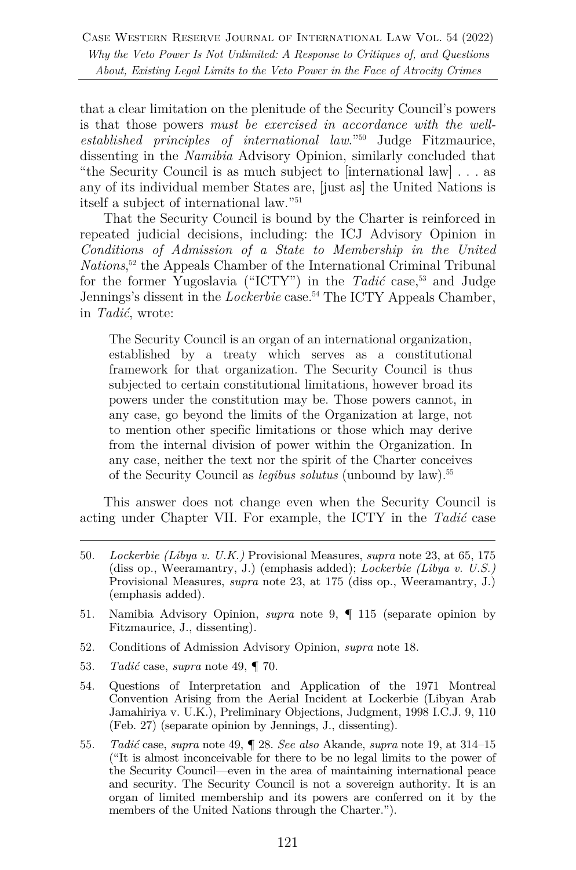that a clear limitation on the plenitude of the Security Council's powers is that those powers *must be exercised in accordance with the wellestablished principles of international law*."50 Judge Fitzmaurice, dissenting in the *Namibia* Advisory Opinion, similarly concluded that "the Security Council is as much subject to [international law] . . . as any of its individual member States are, [just as] the United Nations is itself a subject of international law."51

That the Security Council is bound by the Charter is reinforced in repeated judicial decisions, including: the ICJ Advisory Opinion in *Conditions of Admission of a State to Membership in the United Nations*, <sup>52</sup> the Appeals Chamber of the International Criminal Tribunal for the former Yugoslavia ("ICTY") in the *Tadić* case,<sup>53</sup> and Judge Jennings's dissent in the *Lockerbie* case.<sup>54</sup> The ICTY Appeals Chamber, in *Tadić*, wrote:

The Security Council is an organ of an international organization, established by a treaty which serves as a constitutional framework for that organization. The Security Council is thus subjected to certain constitutional limitations, however broad its powers under the constitution may be. Those powers cannot, in any case, go beyond the limits of the Organization at large, not to mention other specific limitations or those which may derive from the internal division of power within the Organization. In any case, neither the text nor the spirit of the Charter conceives of the Security Council as *legibus solutus* (unbound by law).55

This answer does not change even when the Security Council is acting under Chapter VII. For example, the ICTY in the *Tadić* case

- 52. Conditions of Admission Advisory Opinion, *supra* note 18.
- 53. *Tadić* case, *supra* note 49, ¶ 70.
- 54. Questions of Interpretation and Application of the 1971 Montreal Convention Arising from the Aerial Incident at Lockerbie (Libyan Arab Jamahiriya v. U.K.), Preliminary Objections, Judgment, 1998 I.C.J. 9, 110 (Feb. 27) (separate opinion by Jennings, J., dissenting).
- 55. *Tadić* case, *supra* note 49, ¶ 28. *See also* Akande, *supra* note 19, at 314–15 ("It is almost inconceivable for there to be no legal limits to the power of the Security Council—even in the area of maintaining international peace and security. The Security Council is not a sovereign authority. It is an organ of limited membership and its powers are conferred on it by the members of the United Nations through the Charter.").

<sup>50.</sup> *Lockerbie (Libya v. U.K.)* Provisional Measures, *supra* note 23, at 65, 175 (diss op., Weeramantry, J.) (emphasis added); *Lockerbie (Libya v. U.S.)* Provisional Measures, *supra* note 23, at 175 (diss op., Weeramantry, J.) (emphasis added).

<sup>51.</sup> Namibia Advisory Opinion, *supra* note 9, ¶ 115 (separate opinion by Fitzmaurice, J., dissenting).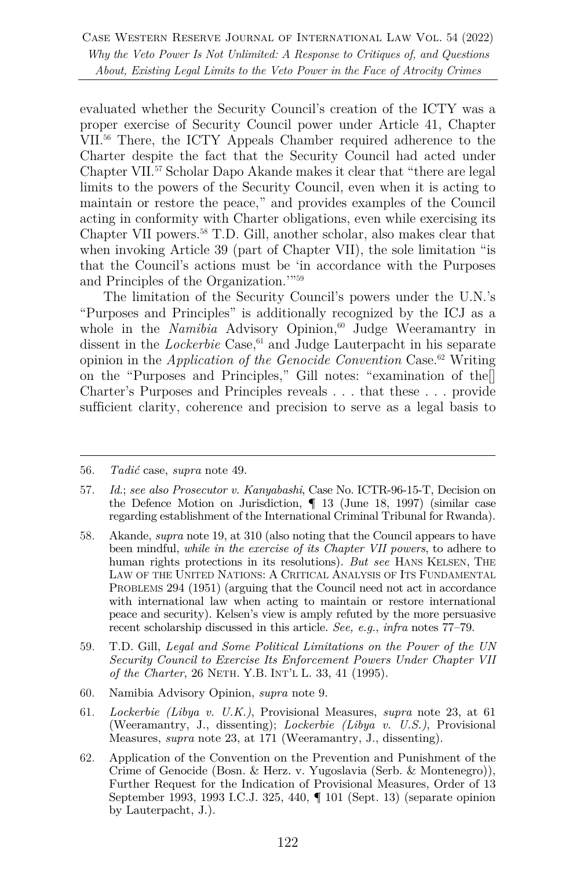evaluated whether the Security Council's creation of the ICTY was a proper exercise of Security Council power under Article 41, Chapter VII.56 There, the ICTY Appeals Chamber required adherence to the Charter despite the fact that the Security Council had acted under Chapter VII.57 Scholar Dapo Akande makes it clear that "there are legal limits to the powers of the Security Council, even when it is acting to maintain or restore the peace," and provides examples of the Council acting in conformity with Charter obligations, even while exercising its Chapter VII powers.<sup>58</sup> T.D. Gill, another scholar, also makes clear that when invoking Article 39 (part of Chapter VII), the sole limitation "is that the Council's actions must be 'in accordance with the Purposes and Principles of the Organization.'"59

The limitation of the Security Council's powers under the U.N.'s "Purposes and Principles" is additionally recognized by the ICJ as a whole in the *Namibia* Advisory Opinion,<sup>60</sup> Judge Weeramantry in dissent in the *Lockerbie* Case,<sup>61</sup> and Judge Lauterpacht in his separate opinion in the *Application of the Genocide Convention* Case.62 Writing on the "Purposes and Principles," Gill notes: "examination of the[] Charter's Purposes and Principles reveals . . . that these . . . provide sufficient clarity, coherence and precision to serve as a legal basis to

- 58. Akande, *supra* note 19, at 310 (also noting that the Council appears to have been mindful, *while in the exercise of its Chapter VII powers*, to adhere to human rights protections in its resolutions). *But see* HANS KELSEN, THE LAW OF THE UNITED NATIONS: A CRITICAL ANALYSIS OF ITS FUNDAMENTAL PROBLEMS 294 (1951) (arguing that the Council need not act in accordance with international law when acting to maintain or restore international peace and security). Kelsen's view is amply refuted by the more persuasive recent scholarship discussed in this article. *See, e.g.*, *infra* notes 77–79.
- 59. T.D. Gill, *Legal and Some Political Limitations on the Power of the UN Security Council to Exercise Its Enforcement Powers Under Chapter VII of the Charter*, 26 NETH. Y.B. INT'L L. 33, 41 (1995).
- 60. Namibia Advisory Opinion, *supra* note 9.
- 61. *Lockerbie (Libya v. U.K.)*, Provisional Measures, *supra* note 23, at 61 (Weeramantry, J., dissenting); *Lockerbie (Libya v. U.S.)*, Provisional Measures, *supra* note 23, at 171 (Weeramantry, J., dissenting).
- 62. Application of the Convention on the Prevention and Punishment of the Crime of Genocide (Bosn. & Herz. v. Yugoslavia (Serb. & Montenegro)), Further Request for the Indication of Provisional Measures, Order of 13 September 1993, 1993 I.C.J. 325, 440, ¶ 101 (Sept. 13) (separate opinion by Lauterpacht, J.).

<sup>56.</sup> *Tadić* case, *supra* note 49.

<sup>57.</sup> *Id.*; *see also Prosecutor v. Kanyabashi*, Case No. ICTR-96-15-T, Decision on the Defence Motion on Jurisdiction, ¶ 13 (June 18, 1997) (similar case regarding establishment of the International Criminal Tribunal for Rwanda).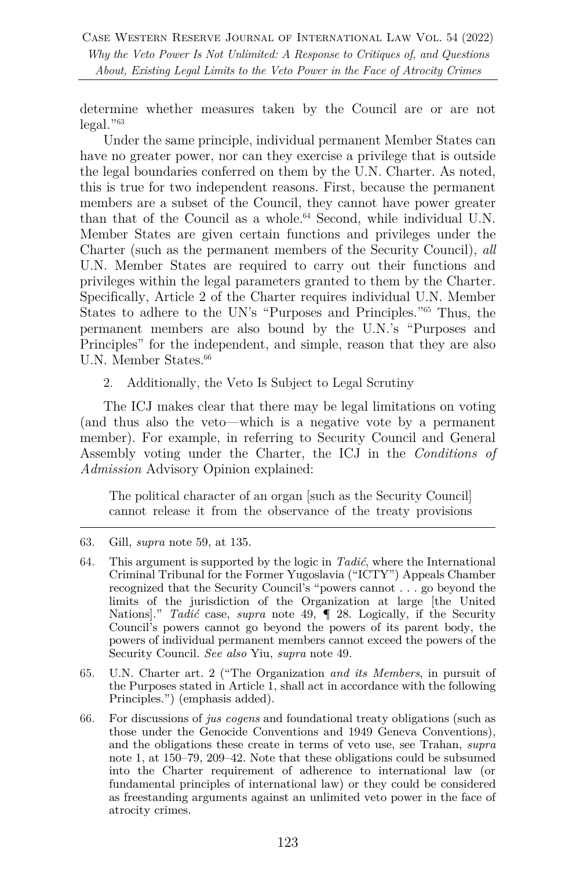determine whether measures taken by the Council are or are not  $\text{legal.}^{963}$ 

Under the same principle, individual permanent Member States can have no greater power, nor can they exercise a privilege that is outside the legal boundaries conferred on them by the U.N. Charter. As noted, this is true for two independent reasons. First, because the permanent members are a subset of the Council, they cannot have power greater than that of the Council as a whole.<sup>64</sup> Second, while individual U.N. Member States are given certain functions and privileges under the Charter (such as the permanent members of the Security Council), *all* U.N. Member States are required to carry out their functions and privileges within the legal parameters granted to them by the Charter. Specifically, Article 2 of the Charter requires individual U.N. Member States to adhere to the UN's "Purposes and Principles."65 Thus, the permanent members are also bound by the U.N.'s "Purposes and Principles" for the independent, and simple, reason that they are also U.N. Member States.<sup>66</sup>

2. Additionally, the Veto Is Subject to Legal Scrutiny

The ICJ makes clear that there may be legal limitations on voting (and thus also the veto—which is a negative vote by a permanent member). For example, in referring to Security Council and General Assembly voting under the Charter, the ICJ in the *Conditions of Admission* Advisory Opinion explained:

The political character of an organ [such as the Security Council] cannot release it from the observance of the treaty provisions

- 65. U.N. Charter art. 2 ("The Organization *and its Members*, in pursuit of the Purposes stated in Article 1, shall act in accordance with the following Principles.") (emphasis added).
- 66. For discussions of *jus cogens* and foundational treaty obligations (such as those under the Genocide Conventions and 1949 Geneva Conventions), and the obligations these create in terms of veto use, see Trahan, *supra* note 1, at 150–79, 209–42. Note that these obligations could be subsumed into the Charter requirement of adherence to international law (or fundamental principles of international law) or they could be considered as freestanding arguments against an unlimited veto power in the face of atrocity crimes.

<sup>63.</sup> Gill, *supra* note 59, at 135.

<sup>64.</sup> This argument is supported by the logic in *Tadić*, where the International Criminal Tribunal for the Former Yugoslavia ("ICTY") Appeals Chamber recognized that the Security Council's "powers cannot . . . go beyond the limits of the jurisdiction of the Organization at large [the United Nations]." *Tadić* case, *supra* note 49, ¶ 28. Logically, if the Security Council's powers cannot go beyond the powers of its parent body, the powers of individual permanent members cannot exceed the powers of the Security Council. *See also* Yiu, *supra* note 49.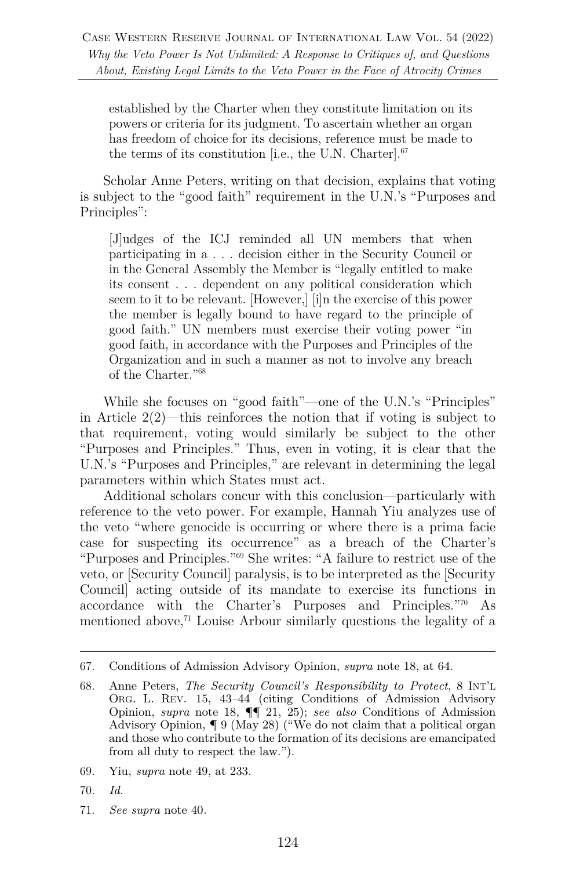established by the Charter when they constitute limitation on its powers or criteria for its judgment. To ascertain whether an organ has freedom of choice for its decisions, reference must be made to the terms of its constitution [i.e., the U.N. Charter].67

Scholar Anne Peters, writing on that decision, explains that voting is subject to the "good faith" requirement in the U.N.'s "Purposes and Principles":

[J]udges of the ICJ reminded all UN members that when participating in a . . . decision either in the Security Council or in the General Assembly the Member is "legally entitled to make its consent . . . dependent on any political consideration which seem to it to be relevant. [However,] [i]n the exercise of this power the member is legally bound to have regard to the principle of good faith." UN members must exercise their voting power "in good faith, in accordance with the Purposes and Principles of the Organization and in such a manner as not to involve any breach of the Charter."68

While she focuses on "good faith"—one of the U.N.'s "Principles" in Article 2(2)—this reinforces the notion that if voting is subject to that requirement, voting would similarly be subject to the other "Purposes and Principles." Thus, even in voting, it is clear that the U.N.'s "Purposes and Principles," are relevant in determining the legal parameters within which States must act.

Additional scholars concur with this conclusion—particularly with reference to the veto power. For example, Hannah Yiu analyzes use of the veto "where genocide is occurring or where there is a prima facie case for suspecting its occurrence" as a breach of the Charter's "Purposes and Principles."69 She writes: "A failure to restrict use of the veto, or [Security Council] paralysis, is to be interpreted as the [Security Council] acting outside of its mandate to exercise its functions in accordance with the Charter's Purposes and Principles."70 As mentioned above,<sup> $71$ </sup> Louise Arbour similarly questions the legality of a

- 69. Yiu, *supra* note 49, at 233.
- 70. *Id.*
- 71. *See supra* note 40*.*

<sup>67.</sup> Conditions of Admission Advisory Opinion, *supra* note 18, at 64.

<sup>68.</sup> Anne Peters, *The Security Council's Responsibility to Protect*, 8 INT'L ORG. L. REV. 15, 43*–*44 (citing Conditions of Admission Advisory Opinion, *supra* note 18, ¶¶ 21, 25); *see also* Conditions of Admission Advisory Opinion, ¶ 9 (May 28) ("We do not claim that a political organ and those who contribute to the formation of its decisions are emancipated from all duty to respect the law.").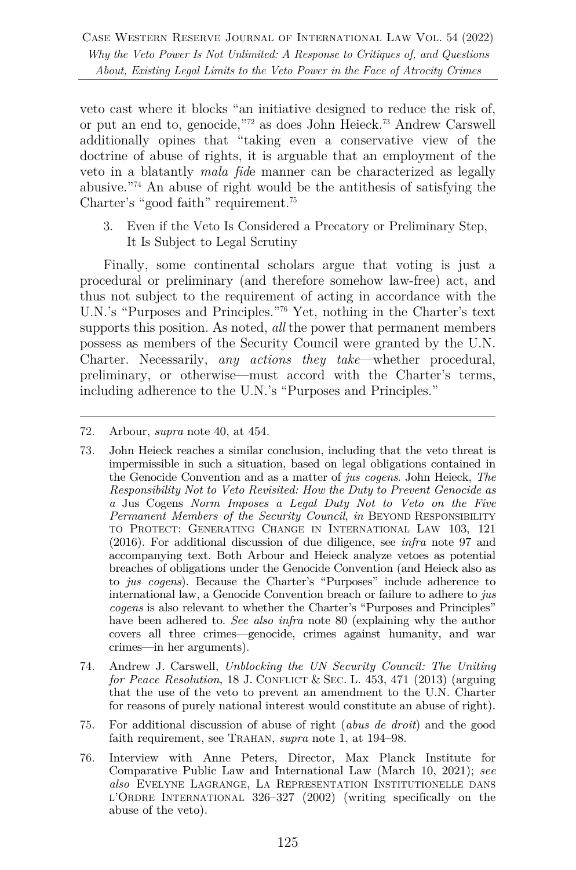veto cast where it blocks "an initiative designed to reduce the risk of, or put an end to, genocide,"72 as does John Heieck.73 Andrew Carswell additionally opines that "taking even a conservative view of the doctrine of abuse of rights, it is arguable that an employment of the veto in a blatantly *mala fid*e manner can be characterized as legally abusive."74 An abuse of right would be the antithesis of satisfying the Charter's "good faith" requirement.75

3. Even if the Veto Is Considered a Precatory or Preliminary Step, It Is Subject to Legal Scrutiny

Finally, some continental scholars argue that voting is just a procedural or preliminary (and therefore somehow law-free) act, and thus not subject to the requirement of acting in accordance with the U.N.'s "Purposes and Principles."76 Yet, nothing in the Charter's text supports this position. As noted, *all* the power that permanent members possess as members of the Security Council were granted by the U.N. Charter. Necessarily, *any actions they take*—whether procedural, preliminary, or otherwise—must accord with the Charter's terms, including adherence to the U.N.'s "Purposes and Principles."

- 73. John Heieck reaches a similar conclusion, including that the veto threat is impermissible in such a situation, based on legal obligations contained in the Genocide Convention and as a matter of *jus cogens*. John Heieck, *The Responsibility Not to Veto Revisited: How the Duty to Prevent Genocide as a* Jus Cogens *Norm Imposes a Legal Duty Not to Veto on the Five Permanent Members of the Security Council*, *in* BEYOND RESPONSIBILITY TO PROTECT: GENERATING CHANGE IN INTERNATIONAL LAW 103, 121 (2016). For additional discussion of due diligence, see *infra* note 97 and accompanying text. Both Arbour and Heieck analyze vetoes as potential breaches of obligations under the Genocide Convention (and Heieck also as to *jus cogens*). Because the Charter's "Purposes" include adherence to international law, a Genocide Convention breach or failure to adhere to *jus cogens* is also relevant to whether the Charter's "Purposes and Principles" have been adhered to. *See also infra* note 80 (explaining why the author covers all three crimes—genocide, crimes against humanity, and war crimes—in her arguments).
- 74. Andrew J. Carswell, *Unblocking the UN Security Council: The Uniting for Peace Resolution*, 18 J. CONFLICT & SEC. L. 453, 471 (2013) (arguing that the use of the veto to prevent an amendment to the U.N. Charter for reasons of purely national interest would constitute an abuse of right).
- 75. For additional discussion of abuse of right (*abus de droit*) and the good faith requirement, see TRAHAN, *supra* note 1, at 194–98.
- 76. Interview with Anne Peters, Director, Max Planck Institute for Comparative Public Law and International Law (March 10, 2021); *see also* EVELYNE LAGRANGE, LA REPRESENTATION INSTITUTIONELLE DANS L'ORDRE INTERNATIONAL 326–327 (2002) (writing specifically on the abuse of the veto).

<sup>72.</sup> Arbour, *supra* note 40, at 454.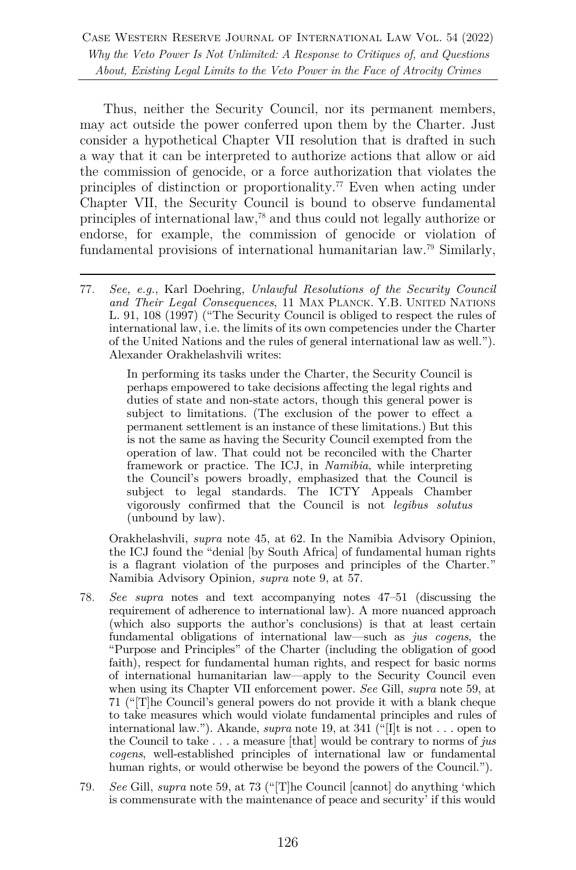Thus, neither the Security Council, nor its permanent members, may act outside the power conferred upon them by the Charter. Just consider a hypothetical Chapter VII resolution that is drafted in such a way that it can be interpreted to authorize actions that allow or aid the commission of genocide, or a force authorization that violates the principles of distinction or proportionality.<sup>77</sup> Even when acting under Chapter VII, the Security Council is bound to observe fundamental principles of international law,78 and thus could not legally authorize or endorse, for example, the commission of genocide or violation of fundamental provisions of international humanitarian law.79 Similarly,

In performing its tasks under the Charter, the Security Council is perhaps empowered to take decisions affecting the legal rights and duties of state and non-state actors, though this general power is subject to limitations. (The exclusion of the power to effect a permanent settlement is an instance of these limitations.) But this is not the same as having the Security Council exempted from the operation of law. That could not be reconciled with the Charter framework or practice. The ICJ, in *Namibia*, while interpreting the Council's powers broadly, emphasized that the Council is subject to legal standards. The ICTY Appeals Chamber vigorously confirmed that the Council is not *legibus solutus* (unbound by law).

Orakhelashvili, *supra* note 45, at 62. In the Namibia Advisory Opinion, the ICJ found the "denial [by South Africa] of fundamental human rights is a flagrant violation of the purposes and principles of the Charter." Namibia Advisory Opinion*, supra* note 9, at 57.

- 78. *See supra* notes and text accompanying notes 47–51 (discussing the requirement of adherence to international law). A more nuanced approach (which also supports the author's conclusions) is that at least certain fundamental obligations of international law—such as *jus cogens*, the "Purpose and Principles" of the Charter (including the obligation of good faith), respect for fundamental human rights, and respect for basic norms of international humanitarian law—apply to the Security Council even when using its Chapter VII enforcement power. *See* Gill, *supra* note 59, at 71 ("[T]he Council's general powers do not provide it with a blank cheque to take measures which would violate fundamental principles and rules of international law."). Akande, *supra* note 19, at 341 ("[I]t is not . . . open to the Council to take . . . a measure [that] would be contrary to norms of *jus cogens*, well-established principles of international law or fundamental human rights, or would otherwise be beyond the powers of the Council.").
- 79. *See* Gill, *supra* note 59, at 73 ("[T]he Council [cannot] do anything 'which is commensurate with the maintenance of peace and security' if this would

<sup>77.</sup> *See, e.g.*, Karl Doehring, *Unlawful Resolutions of the Security Council and Their Legal Consequences*, 11 MAX PLANCK. Y.B. UNITED NATIONS L. 91, 108 (1997) ("The Security Council is obliged to respect the rules of international law, i.e. the limits of its own competencies under the Charter of the United Nations and the rules of general international law as well."). Alexander Orakhelashvili writes: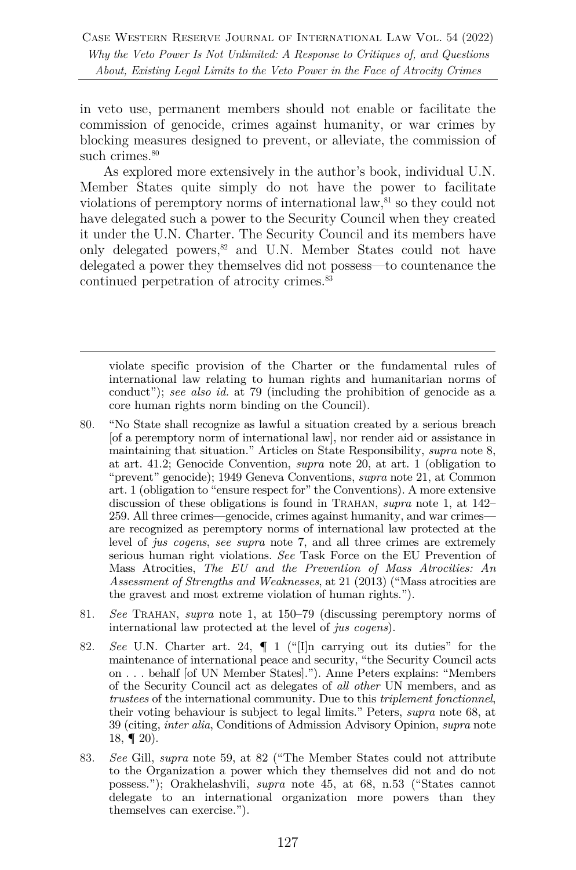in veto use, permanent members should not enable or facilitate the commission of genocide, crimes against humanity, or war crimes by blocking measures designed to prevent, or alleviate, the commission of such crimes. $80$ 

As explored more extensively in the author's book, individual U.N. Member States quite simply do not have the power to facilitate violations of peremptory norms of international law,<sup>81</sup> so they could not have delegated such a power to the Security Council when they created it under the U.N. Charter. The Security Council and its members have only delegated powers,<sup>82</sup> and U.N. Member States could not have delegated a power they themselves did not possess—to countenance the continued perpetration of atrocity crimes.<sup>83</sup>

violate specific provision of the Charter or the fundamental rules of international law relating to human rights and humanitarian norms of conduct"); *see also id.* at 79 (including the prohibition of genocide as a core human rights norm binding on the Council).

- 80. "No State shall recognize as lawful a situation created by a serious breach [of a peremptory norm of international law], nor render aid or assistance in maintaining that situation." Articles on State Responsibility, *supra* note 8, at art. 41.2; Genocide Convention, *supra* note 20, at art. 1 (obligation to "prevent" genocide); 1949 Geneva Conventions, *supra* note 21, at Common art. 1 (obligation to "ensure respect for" the Conventions). A more extensive discussion of these obligations is found in TRAHAN, *supra* note 1, at 142– 259. All three crimes—genocide, crimes against humanity, and war crimes are recognized as peremptory norms of international law protected at the level of *jus cogens*, *see supra* note 7, and all three crimes are extremely serious human right violations. *See* Task Force on the EU Prevention of Mass Atrocities, *The EU and the Prevention of Mass Atrocities: An Assessment of Strengths and Weaknesses*, at 21 (2013) ("Mass atrocities are the gravest and most extreme violation of human rights.").
- 81. *See* TRAHAN, *supra* note 1, at 150–79 (discussing peremptory norms of international law protected at the level of *jus cogens*).
- 82. *See* U.N. Charter art. 24, ¶ 1 ("[I]n carrying out its duties" for the maintenance of international peace and security, "the Security Council acts on . . . behalf [of UN Member States]."). Anne Peters explains: "Members of the Security Council act as delegates of *all other* UN members, and as *trustees* of the international community. Due to this *triplement fonctionnel*, their voting behaviour is subject to legal limits." Peters, *supra* note 68, at 39 (citing, *inter alia*, Conditions of Admission Advisory Opinion, *supra* note 18,  $\P$  20).
- 83. *See* Gill, *supra* note 59, at 82 ("The Member States could not attribute to the Organization a power which they themselves did not and do not possess."); Orakhelashvili, *supra* note 45, at 68, n.53 ("States cannot delegate to an international organization more powers than they themselves can exercise.").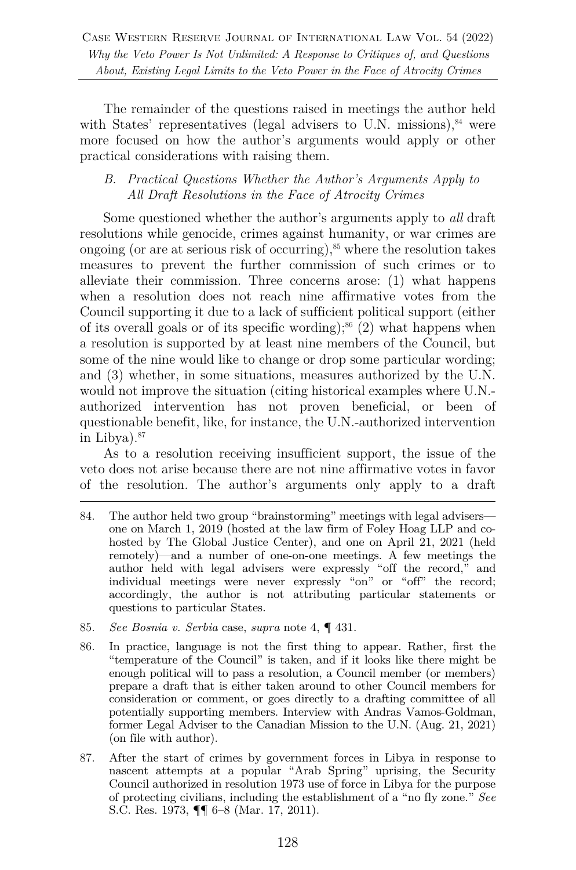The remainder of the questions raised in meetings the author held with States' representatives (legal advisers to U.N. missions),  $84$  were more focused on how the author's arguments would apply or other practical considerations with raising them.

### *B. Practical Questions Whether the Author's Arguments Apply to All Draft Resolutions in the Face of Atrocity Crimes*

Some questioned whether the author's arguments apply to *all* draft resolutions while genocide, crimes against humanity, or war crimes are ongoing (or are at serious risk of occurring), $85$  where the resolution takes measures to prevent the further commission of such crimes or to alleviate their commission. Three concerns arose: (1) what happens when a resolution does not reach nine affirmative votes from the Council supporting it due to a lack of sufficient political support (either of its overall goals or of its specific wording);<sup>86</sup> (2) what happens when a resolution is supported by at least nine members of the Council, but some of the nine would like to change or drop some particular wording; and (3) whether, in some situations, measures authorized by the U.N. would not improve the situation (citing historical examples where U.N. authorized intervention has not proven beneficial, or been of questionable benefit, like, for instance, the U.N.-authorized intervention in Libya). 87

As to a resolution receiving insufficient support, the issue of the veto does not arise because there are not nine affirmative votes in favor of the resolution. The author's arguments only apply to a draft

- 85. *See Bosnia v. Serbia* case, *supra* note 4, ¶ 431.
- 86. In practice, language is not the first thing to appear. Rather, first the "temperature of the Council" is taken, and if it looks like there might be enough political will to pass a resolution, a Council member (or members) prepare a draft that is either taken around to other Council members for consideration or comment, or goes directly to a drafting committee of all potentially supporting members. Interview with Andras Vamos-Goldman, former Legal Adviser to the Canadian Mission to the U.N. (Aug. 21, 2021) (on file with author).
- 87. After the start of crimes by government forces in Libya in response to nascent attempts at a popular "Arab Spring" uprising, the Security Council authorized in resolution 1973 use of force in Libya for the purpose of protecting civilians, including the establishment of a "no fly zone." *See* S.C. Res. 1973, ¶¶ 6–8 (Mar. 17, 2011).

<sup>84.</sup> The author held two group "brainstorming" meetings with legal advisers one on March 1, 2019 (hosted at the law firm of Foley Hoag LLP and cohosted by The Global Justice Center), and one on April 21, 2021 (held remotely)—and a number of one-on-one meetings. A few meetings the author held with legal advisers were expressly "off the record," and individual meetings were never expressly "on" or "off" the record; accordingly, the author is not attributing particular statements or questions to particular States.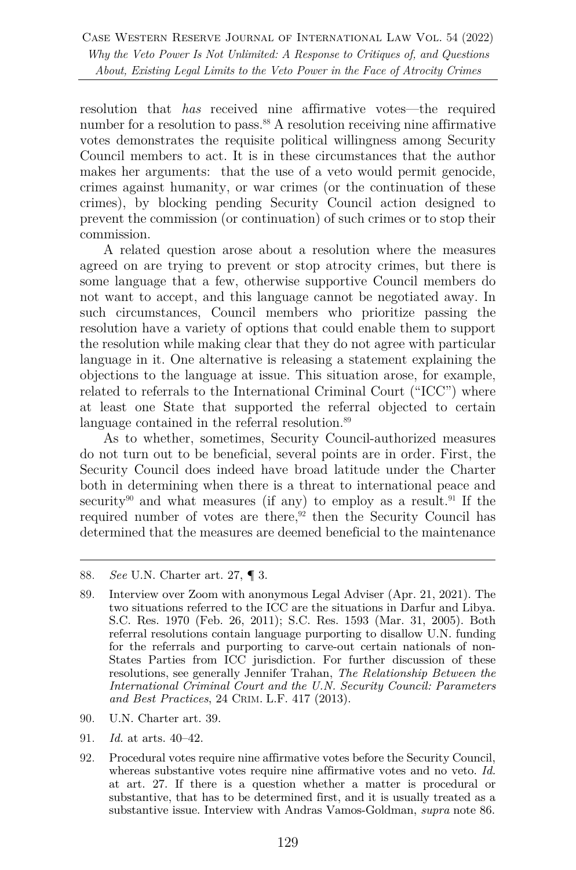resolution that *has* received nine affirmative votes—the required number for a resolution to pass.<sup>88</sup> A resolution receiving nine affirmative votes demonstrates the requisite political willingness among Security Council members to act. It is in these circumstances that the author makes her arguments: that the use of a veto would permit genocide, crimes against humanity, or war crimes (or the continuation of these crimes), by blocking pending Security Council action designed to prevent the commission (or continuation) of such crimes or to stop their commission.

A related question arose about a resolution where the measures agreed on are trying to prevent or stop atrocity crimes, but there is some language that a few, otherwise supportive Council members do not want to accept, and this language cannot be negotiated away. In such circumstances, Council members who prioritize passing the resolution have a variety of options that could enable them to support the resolution while making clear that they do not agree with particular language in it. One alternative is releasing a statement explaining the objections to the language at issue. This situation arose, for example, related to referrals to the International Criminal Court ("ICC") where at least one State that supported the referral objected to certain language contained in the referral resolution.<sup>89</sup>

As to whether, sometimes, Security Council-authorized measures do not turn out to be beneficial, several points are in order. First, the Security Council does indeed have broad latitude under the Charter both in determining when there is a threat to international peace and security<sup>90</sup> and what measures (if any) to employ as a result.<sup>91</sup> If the required number of votes are there, $92$  then the Security Council has determined that the measures are deemed beneficial to the maintenance

- 90. U.N. Charter art. 39.
- 91. *Id.* at arts. 40–42.
- 92. Procedural votes require nine affirmative votes before the Security Council, whereas substantive votes require nine affirmative votes and no veto. *Id.* at art. 27. If there is a question whether a matter is procedural or substantive, that has to be determined first, and it is usually treated as a substantive issue. Interview with Andras Vamos-Goldman, *supra* note 86.

<sup>88.</sup> *See* U.N. Charter art. 27, ¶ 3.

<sup>89.</sup> Interview over Zoom with anonymous Legal Adviser (Apr. 21, 2021). The two situations referred to the ICC are the situations in Darfur and Libya. S.C. Res. 1970 (Feb. 26, 2011); S.C. Res. 1593 (Mar. 31, 2005). Both referral resolutions contain language purporting to disallow U.N. funding for the referrals and purporting to carve-out certain nationals of non-States Parties from ICC jurisdiction. For further discussion of these resolutions, see generally Jennifer Trahan, *The Relationship Between the International Criminal Court and the U.N. Security Council: Parameters and Best Practices*, 24 CRIM. L.F. 417 (2013).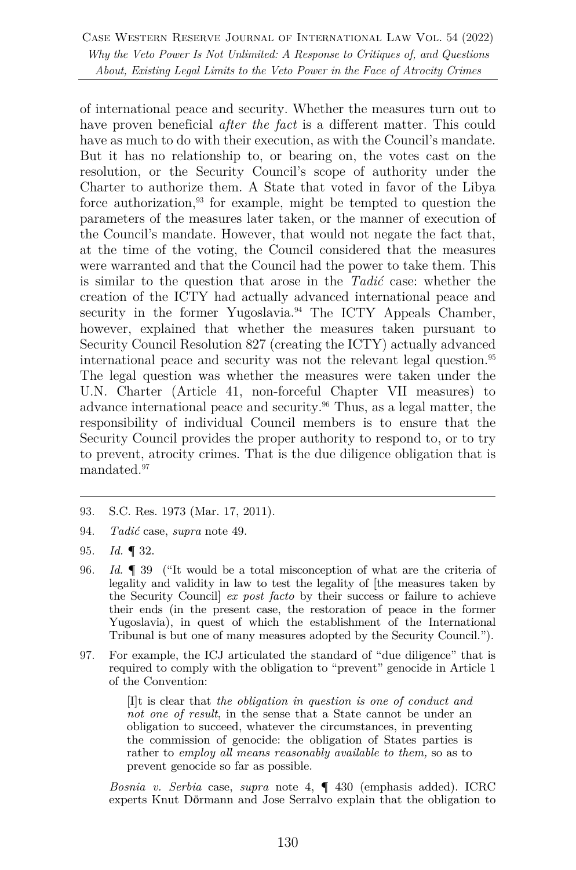of international peace and security. Whether the measures turn out to have proven beneficial *after the fact* is a different matter. This could have as much to do with their execution, as with the Council's mandate. But it has no relationship to, or bearing on, the votes cast on the resolution, or the Security Council's scope of authority under the Charter to authorize them. A State that voted in favor of the Libya force authorization, <sup>93</sup> for example, might be tempted to question the parameters of the measures later taken, or the manner of execution of the Council's mandate. However, that would not negate the fact that, at the time of the voting, the Council considered that the measures were warranted and that the Council had the power to take them. This is similar to the question that arose in the *Tadić* case: whether the creation of the ICTY had actually advanced international peace and security in the former Yugoslavia.<sup>94</sup> The ICTY Appeals Chamber, however, explained that whether the measures taken pursuant to Security Council Resolution 827 (creating the ICTY) actually advanced international peace and security was not the relevant legal question.<sup>95</sup> The legal question was whether the measures were taken under the U.N. Charter (Article 41, non-forceful Chapter VII measures) to advance international peace and security.96 Thus, as a legal matter, the responsibility of individual Council members is to ensure that the Security Council provides the proper authority to respond to, or to try to prevent, atrocity crimes. That is the due diligence obligation that is mandated.97

97. For example, the ICJ articulated the standard of "due diligence" that is required to comply with the obligation to "prevent" genocide in Article 1 of the Convention:

> [I]t is clear that *the obligation in question is one of conduct and not one of result*, in the sense that a State cannot be under an obligation to succeed, whatever the circumstances, in preventing the commission of genocide: the obligation of States parties is rather to *employ all means reasonably available to them,* so as to prevent genocide so far as possible.

*Bosnia v. Serbia* case, *supra* note 4, ¶ 430 (emphasis added). ICRC experts Knut Dӧrmann and Jose Serralvo explain that the obligation to

<sup>93.</sup> S.C. Res. 1973 (Mar. 17, 2011).

<sup>94.</sup> *Tadić* case, *supra* note 49.

<sup>95.</sup> *Id.* ¶ 32.

<sup>96.</sup> *Id.* ¶ 39 ("It would be a total misconception of what are the criteria of legality and validity in law to test the legality of [the measures taken by the Security Council] *ex post facto* by their success or failure to achieve their ends (in the present case, the restoration of peace in the former Yugoslavia), in quest of which the establishment of the International Tribunal is but one of many measures adopted by the Security Council.").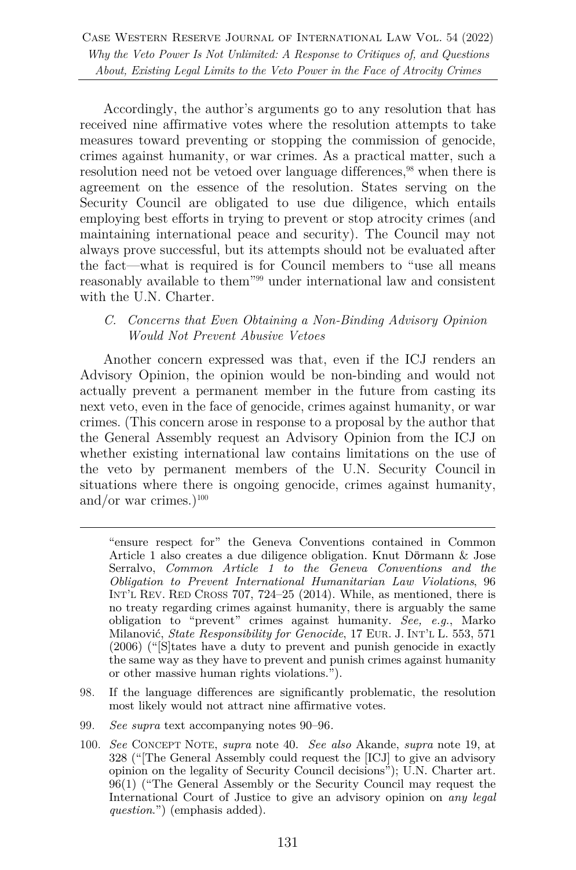Accordingly, the author's arguments go to any resolution that has received nine affirmative votes where the resolution attempts to take measures toward preventing or stopping the commission of genocide, crimes against humanity, or war crimes. As a practical matter, such a resolution need not be vetoed over language differences,<sup>98</sup> when there is agreement on the essence of the resolution. States serving on the Security Council are obligated to use due diligence, which entails employing best efforts in trying to prevent or stop atrocity crimes (and maintaining international peace and security). The Council may not always prove successful, but its attempts should not be evaluated after the fact—what is required is for Council members to "use all means reasonably available to them"99 under international law and consistent with the U.N. Charter.

#### *C. Concerns that Even Obtaining a Non-Binding Advisory Opinion Would Not Prevent Abusive Vetoes*

Another concern expressed was that, even if the ICJ renders an Advisory Opinion, the opinion would be non-binding and would not actually prevent a permanent member in the future from casting its next veto, even in the face of genocide, crimes against humanity, or war crimes. (This concern arose in response to a proposal by the author that the General Assembly request an Advisory Opinion from the ICJ on whether existing international law contains limitations on the use of the veto by permanent members of the U.N. Security Council in situations where there is ongoing genocide, crimes against humanity, and/or war crimes.) $100$ 

- 98. If the language differences are significantly problematic, the resolution most likely would not attract nine affirmative votes.
- 99. *See supra* text accompanying notes 90–96*.*
- 100. *See* CONCEPT NOTE, *supra* note 40. *See also* Akande, *supra* note 19, at 328 ("[The General Assembly could request the [ICJ] to give an advisory opinion on the legality of Security Council decisions"); U.N. Charter art. 96(1) ("The General Assembly or the Security Council may request the International Court of Justice to give an advisory opinion on *any legal question*.") (emphasis added).

<sup>&</sup>quot;ensure respect for" the Geneva Conventions contained in Common Article 1 also creates a due diligence obligation. Knut Dӧrmann & Jose Serralvo, *Common Article 1 to the Geneva Conventions and the Obligation to Prevent International Humanitarian Law Violations*, 96 INT'L REV. RED CROSS 707, 724–25 (2014). While, as mentioned, there is no treaty regarding crimes against humanity, there is arguably the same obligation to "prevent" crimes against humanity. *See, e.g.*, Marko Milanović, *State Responsibility for Genocide*, 17 EUR. J. INT'L L. 553, 571 (2006) ("[S]tates have a duty to prevent and punish genocide in exactly the same way as they have to prevent and punish crimes against humanity or other massive human rights violations.").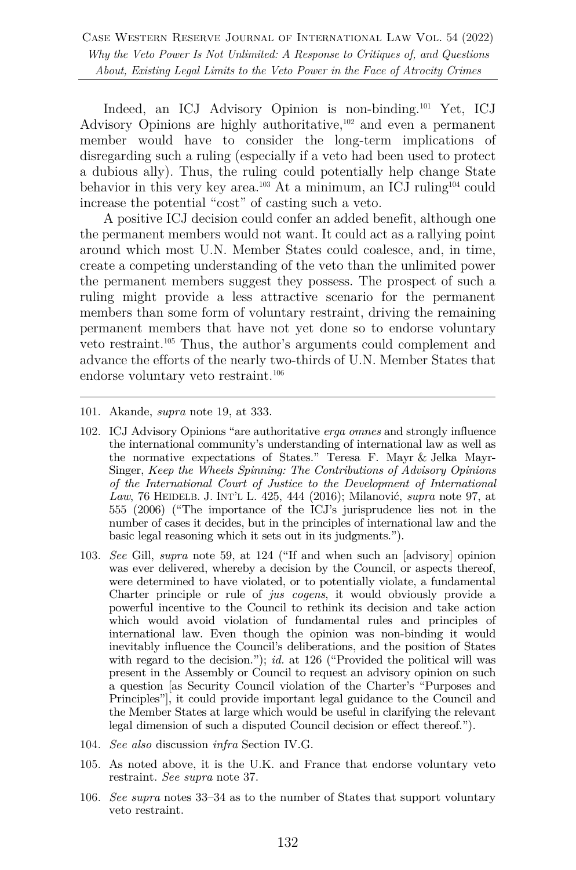Indeed, an ICJ Advisory Opinion is non-binding.101 Yet, ICJ Advisory Opinions are highly authoritative,<sup>102</sup> and even a permanent member would have to consider the long-term implications of disregarding such a ruling (especially if a veto had been used to protect a dubious ally). Thus, the ruling could potentially help change State behavior in this very key area. <sup>103</sup> At a minimum, an ICJ ruling104 could increase the potential "cost" of casting such a veto.

A positive ICJ decision could confer an added benefit, although one the permanent members would not want. It could act as a rallying point around which most U.N. Member States could coalesce, and, in time, create a competing understanding of the veto than the unlimited power the permanent members suggest they possess. The prospect of such a ruling might provide a less attractive scenario for the permanent members than some form of voluntary restraint, driving the remaining permanent members that have not yet done so to endorse voluntary veto restraint.105 Thus, the author's arguments could complement and advance the efforts of the nearly two-thirds of U.N. Member States that endorse voluntary veto restraint.106

- 101. Akande, *supra* note 19, at 333.
- 102. ICJ Advisory Opinions "are authoritative *erga omnes* and strongly influence the international community's understanding of international law as well as the normative expectations of States." Teresa F. Mayr & Jelka Mayr-Singer, *Keep the Wheels Spinning: The Contributions of Advisory Opinions of the International Court of Justice to the Development of International Law*, 76 HEIDELB. J. INT'L L. 425, 444 (2016); Milanović, *supra* note 97, at 555 (2006) ("The importance of the ICJ's jurisprudence lies not in the number of cases it decides, but in the principles of international law and the basic legal reasoning which it sets out in its judgments.").
- 103. *See* Gill, *supra* note 59, at 124 ("If and when such an [advisory] opinion was ever delivered, whereby a decision by the Council, or aspects thereof, were determined to have violated, or to potentially violate, a fundamental Charter principle or rule of *jus cogens*, it would obviously provide a powerful incentive to the Council to rethink its decision and take action which would avoid violation of fundamental rules and principles of international law. Even though the opinion was non-binding it would inevitably influence the Council's deliberations, and the position of States with regard to the decision."); *id.* at 126 ("Provided the political will was present in the Assembly or Council to request an advisory opinion on such a question [as Security Council violation of the Charter's "Purposes and Principles"], it could provide important legal guidance to the Council and the Member States at large which would be useful in clarifying the relevant legal dimension of such a disputed Council decision or effect thereof.").
- 104. *See also* discussion *infra* Section IV.G.
- 105. As noted above, it is the U.K. and France that endorse voluntary veto restraint. *See supra* note 37.
- 106. *See supra* notes 33–34 as to the number of States that support voluntary veto restraint.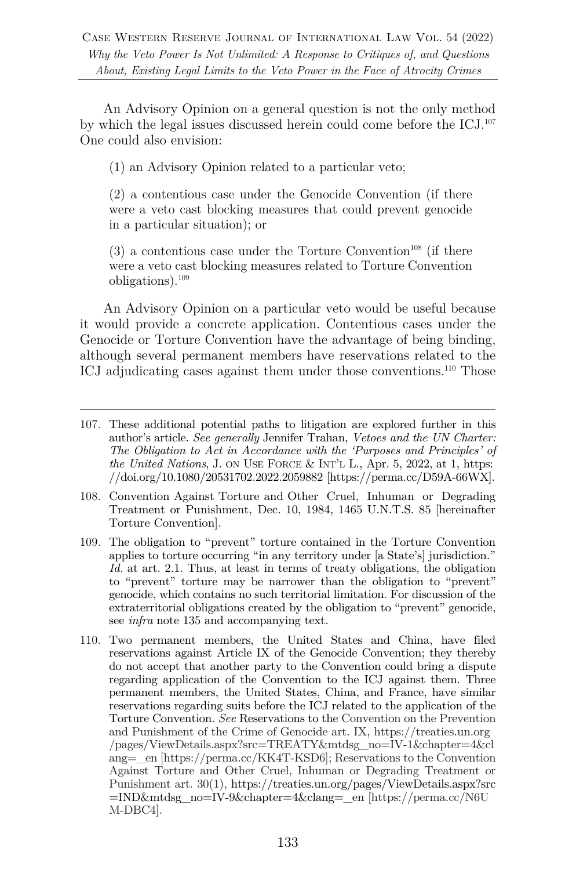An Advisory Opinion on a general question is not the only method by which the legal issues discussed herein could come before the ICJ.107 One could also envision:

(1) an Advisory Opinion related to a particular veto;

(2) a contentious case under the Genocide Convention (if there were a veto cast blocking measures that could prevent genocide in a particular situation); or

 $(3)$  a contentious case under the Torture Convention<sup>108</sup> (if there were a veto cast blocking measures related to Torture Convention obligations).109

An Advisory Opinion on a particular veto would be useful because it would provide a concrete application. Contentious cases under the Genocide or Torture Convention have the advantage of being binding, although several permanent members have reservations related to the ICJ adjudicating cases against them under those conventions.<sup>110</sup> Those

- 109. The obligation to "prevent" torture contained in the Torture Convention applies to torture occurring "in any territory under [a State's] jurisdiction." *Id.* at art. 2.1. Thus, at least in terms of treaty obligations, the obligation to "prevent" torture may be narrower than the obligation to "prevent" genocide, which contains no such territorial limitation. For discussion of the extraterritorial obligations created by the obligation to "prevent" genocide, see *infra* note 135 and accompanying text.
- 110. Two permanent members, the United States and China, have filed reservations against Article IX of the Genocide Convention; they thereby do not accept that another party to the Convention could bring a dispute regarding application of the Convention to the ICJ against them. Three permanent members, the United States, China, and France, have similar reservations regarding suits before the ICJ related to the application of the Torture Convention. *See* Reservations to the Convention on the Prevention and Punishment of the Crime of Genocide art. IX, https://treaties.un.org /pages/ViewDetails.aspx?src=TREATY&mtdsg\_no=IV-1&chapter=4&cl ang=\_en [https://perma.cc/KK4T-KSD6]; Reservations to the Convention Against Torture and Other Cruel, Inhuman or Degrading Treatment or Punishment art. 30(1), https://treaties.un.org/pages/ViewDetails.aspx?src =IND&mtdsg\_no=IV-9&chapter=4&clang=\_en [https://perma.cc/N6U M-DBC4].

<sup>107.</sup> These additional potential paths to litigation are explored further in this author's article. *See generally* Jennifer Trahan, *Vetoes and the UN Charter: The Obligation to Act in Accordance with the 'Purposes and Principles' of the United Nations*, J. ON USE FORCE & INT'L L., Apr. 5, 2022, at 1, https: //doi.org/10.1080/20531702.2022.2059882 [https://perma.cc/D59A-66WX].

<sup>108.</sup> Convention Against Torture and Other Cruel, Inhuman or Degrading Treatment or Punishment, Dec. 10, 1984, 1465 U.N.T.S. 85 [hereinafter Torture Convention].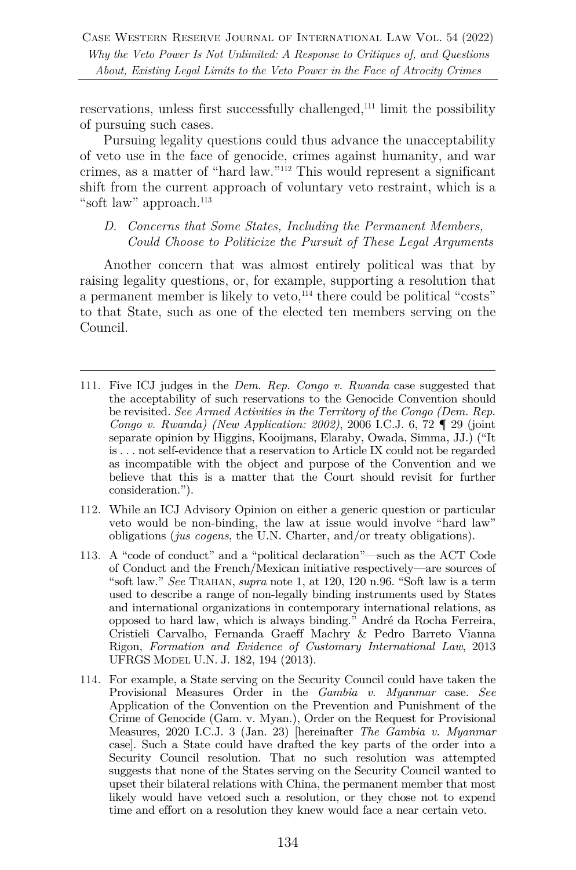reservations, unless first successfully challenged,111 limit the possibility of pursuing such cases.

Pursuing legality questions could thus advance the unacceptability of veto use in the face of genocide, crimes against humanity, and war crimes, as a matter of "hard law."112 This would represent a significant shift from the current approach of voluntary veto restraint, which is a "soft law" approach. $113$ 

#### *D. Concerns that Some States, Including the Permanent Members, Could Choose to Politicize the Pursuit of These Legal Arguments*

Another concern that was almost entirely political was that by raising legality questions, or, for example, supporting a resolution that a permanent member is likely to veto,<sup>114</sup> there could be political "costs" to that State, such as one of the elected ten members serving on the Council.

- 111. Five ICJ judges in the *Dem. Rep. Congo v. Rwanda* case suggested that the acceptability of such reservations to the Genocide Convention should be revisited. *See Armed Activities in the Territory of the Congo (Dem. Rep. Congo v. Rwanda) (New Application: 2002)*, 2006 I.C.J. 6, 72 ¶ 29 (joint separate opinion by Higgins, Kooijmans, Elaraby, Owada, Simma, JJ.) ("It is . . . not self-evidence that a reservation to Article IX could not be regarded as incompatible with the object and purpose of the Convention and we believe that this is a matter that the Court should revisit for further consideration.").
- 112. While an ICJ Advisory Opinion on either a generic question or particular veto would be non-binding, the law at issue would involve "hard law" obligations (*jus cogens*, the U.N. Charter, and/or treaty obligations).
- 113. A "code of conduct" and a "political declaration"—such as the ACT Code of Conduct and the French/Mexican initiative respectively—are sources of "soft law." *See* TRAHAN, *supra* note 1, at 120, 120 n.96. "Soft law is a term used to describe a range of non-legally binding instruments used by States and international organizations in contemporary international relations, as opposed to hard law, which is always binding." André da Rocha Ferreira, Cristieli Carvalho, Fernanda Graeff Machry & Pedro Barreto Vianna Rigon, *Formation and Evidence of Customary International Law*, 2013 UFRGS MODEL U.N. J. 182, 194 (2013).
- 114. For example, a State serving on the Security Council could have taken the Provisional Measures Order in the *Gambia v. Myanmar* case. *See*  Application of the Convention on the Prevention and Punishment of the Crime of Genocide (Gam. v. Myan.), Order on the Request for Provisional Measures, 2020 I.C.J. 3 (Jan. 23) [hereinafter *The Gambia v. Myanmar* case]. Such a State could have drafted the key parts of the order into a Security Council resolution. That no such resolution was attempted suggests that none of the States serving on the Security Council wanted to upset their bilateral relations with China, the permanent member that most likely would have vetoed such a resolution, or they chose not to expend time and effort on a resolution they knew would face a near certain veto.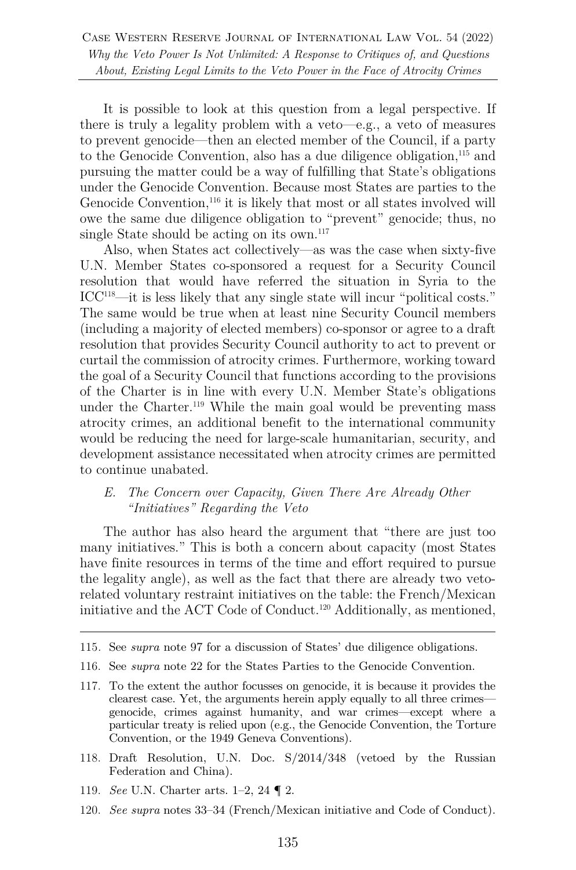It is possible to look at this question from a legal perspective. If there is truly a legality problem with a veto—e.g., a veto of measures to prevent genocide—then an elected member of the Council, if a party to the Genocide Convention, also has a due diligence obligation,115 and pursuing the matter could be a way of fulfilling that State's obligations under the Genocide Convention. Because most States are parties to the Genocide Convention,<sup>116</sup> it is likely that most or all states involved will owe the same due diligence obligation to "prevent" genocide; thus, no single State should be acting on its own.<sup>117</sup>

Also, when States act collectively—as was the case when sixty-five U.N. Member States co-sponsored a request for a Security Council resolution that would have referred the situation in Syria to the ICC118—it is less likely that any single state will incur "political costs." The same would be true when at least nine Security Council members (including a majority of elected members) co-sponsor or agree to a draft resolution that provides Security Council authority to act to prevent or curtail the commission of atrocity crimes. Furthermore, working toward the goal of a Security Council that functions according to the provisions of the Charter is in line with every U.N. Member State's obligations under the Charter.<sup>119</sup> While the main goal would be preventing mass atrocity crimes, an additional benefit to the international community would be reducing the need for large-scale humanitarian, security, and development assistance necessitated when atrocity crimes are permitted to continue unabated.

#### *E. The Concern over Capacity, Given There Are Already Other "Initiatives" Regarding the Veto*

The author has also heard the argument that "there are just too many initiatives." This is both a concern about capacity (most States have finite resources in terms of the time and effort required to pursue the legality angle), as well as the fact that there are already two vetorelated voluntary restraint initiatives on the table: the French/Mexican initiative and the ACT Code of Conduct.120 Additionally, as mentioned,

- 118. Draft Resolution, U.N. Doc. S/2014/348 (vetoed by the Russian Federation and China).
- 119. *See* U.N. Charter arts. 1–2, 24 ¶ 2.
- 120. *See supra* notes 33–34 (French/Mexican initiative and Code of Conduct).

<sup>115</sup>*.* See *supra* note 97 for a discussion of States' due diligence obligations.

<sup>116.</sup> See *supra* note 22 for the States Parties to the Genocide Convention.

<sup>117.</sup> To the extent the author focusses on genocide, it is because it provides the clearest case. Yet, the arguments herein apply equally to all three crimes genocide, crimes against humanity, and war crimes—except where a particular treaty is relied upon (e.g., the Genocide Convention, the Torture Convention, or the 1949 Geneva Conventions).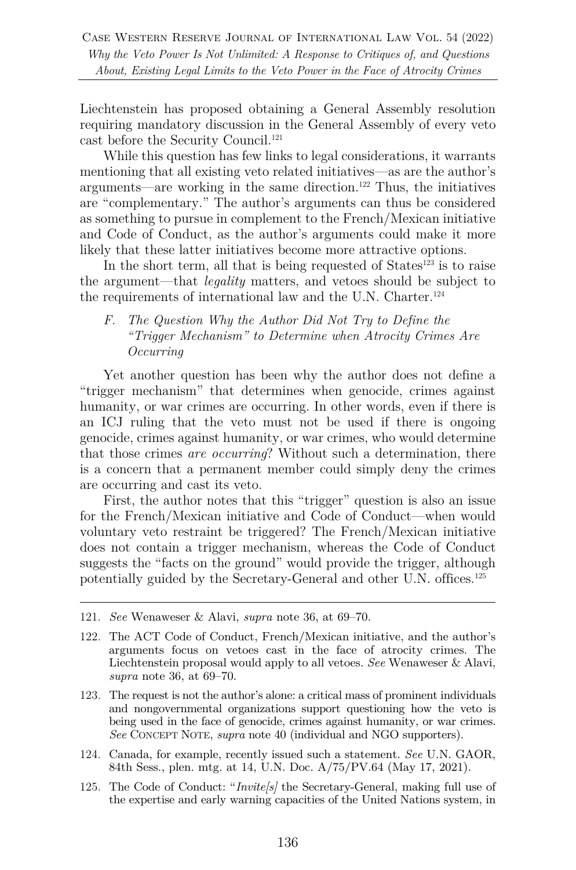Liechtenstein has proposed obtaining a General Assembly resolution requiring mandatory discussion in the General Assembly of every veto cast before the Security Council.<sup>121</sup>

While this question has few links to legal considerations, it warrants mentioning that all existing veto related initiatives—as are the author's  $a$ rguments—are working in the same direction.<sup>122</sup> Thus, the initiatives are "complementary." The author's arguments can thus be considered as something to pursue in complement to the French/Mexican initiative and Code of Conduct, as the author's arguments could make it more likely that these latter initiatives become more attractive options.

In the short term, all that is being requested of  $States^{123}$  is to raise the argument—that *legality* matters, and vetoes should be subject to the requirements of international law and the U.N. Charter.<sup>124</sup>

*F. The Question Why the Author Did Not Try to Define the "Trigger Mechanism" to Determine when Atrocity Crimes Are Occurring* 

Yet another question has been why the author does not define a "trigger mechanism" that determines when genocide, crimes against humanity, or war crimes are occurring. In other words, even if there is an ICJ ruling that the veto must not be used if there is ongoing genocide, crimes against humanity, or war crimes, who would determine that those crimes *are occurring*? Without such a determination, there is a concern that a permanent member could simply deny the crimes are occurring and cast its veto.

First, the author notes that this "trigger" question is also an issue for the French/Mexican initiative and Code of Conduct—when would voluntary veto restraint be triggered? The French/Mexican initiative does not contain a trigger mechanism, whereas the Code of Conduct suggests the "facts on the ground" would provide the trigger, although potentially guided by the Secretary-General and other U.N. offices.125

- 124. Canada, for example, recently issued such a statement. *See* U.N. GAOR, 84th Sess., plen. mtg. at 14, U.N. Doc. A/75/PV.64 (May 17, 2021).
- 125. The Code of Conduct: "*Invite[s]* the Secretary-General, making full use of the expertise and early warning capacities of the United Nations system, in

<sup>121.</sup> *See* Wenaweser & Alavi, *supra* note 36, at 69–70.

<sup>122.</sup> The ACT Code of Conduct, French/Mexican initiative, and the author's arguments focus on vetoes cast in the face of atrocity crimes. The Liechtenstein proposal would apply to all vetoes. *See* Wenaweser & Alavi, *supra* note 36, at 69–70.

<sup>123.</sup> The request is not the author's alone: a critical mass of prominent individuals and nongovernmental organizations support questioning how the veto is being used in the face of genocide, crimes against humanity, or war crimes. *See* CONCEPT NOTE, *supra* note 40 (individual and NGO supporters).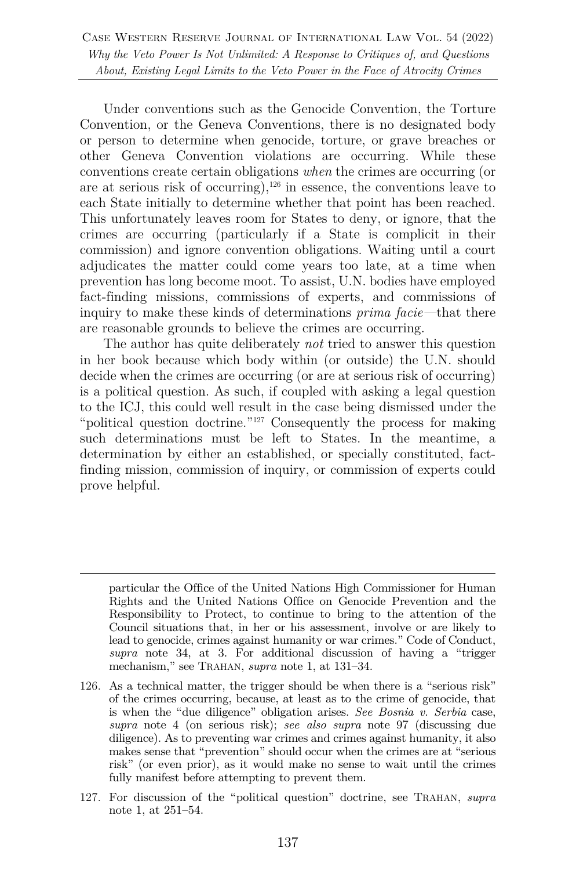Under conventions such as the Genocide Convention, the Torture Convention, or the Geneva Conventions, there is no designated body or person to determine when genocide, torture, or grave breaches or other Geneva Convention violations are occurring. While these conventions create certain obligations *when* the crimes are occurring (or are at serious risk of occurring), $126$  in essence, the conventions leave to each State initially to determine whether that point has been reached. This unfortunately leaves room for States to deny, or ignore, that the crimes are occurring (particularly if a State is complicit in their commission) and ignore convention obligations. Waiting until a court adjudicates the matter could come years too late, at a time when prevention has long become moot. To assist, U.N. bodies have employed fact-finding missions, commissions of experts, and commissions of inquiry to make these kinds of determinations *prima facie—*that there are reasonable grounds to believe the crimes are occurring.

The author has quite deliberately *not* tried to answer this question in her book because which body within (or outside) the U.N. should decide when the crimes are occurring (or are at serious risk of occurring) is a political question. As such, if coupled with asking a legal question to the ICJ, this could well result in the case being dismissed under the "political question doctrine."<sup>127</sup> Consequently the process for making such determinations must be left to States. In the meantime, a determination by either an established, or specially constituted, factfinding mission, commission of inquiry, or commission of experts could prove helpful.

particular the Office of the United Nations High Commissioner for Human Rights and the United Nations Office on Genocide Prevention and the Responsibility to Protect, to continue to bring to the attention of the Council situations that, in her or his assessment, involve or are likely to lead to genocide, crimes against humanity or war crimes." Code of Conduct, *supra* note 34, at 3. For additional discussion of having a "trigger mechanism," see TRAHAN, *supra* note 1, at 131–34.

- 126. As a technical matter, the trigger should be when there is a "serious risk" of the crimes occurring, because, at least as to the crime of genocide, that is when the "due diligence" obligation arises. *See Bosnia v. Serbia* case, *supra* note 4 (on serious risk); *see also supra* note 97 (discussing due diligence). As to preventing war crimes and crimes against humanity, it also makes sense that "prevention" should occur when the crimes are at "serious risk" (or even prior), as it would make no sense to wait until the crimes fully manifest before attempting to prevent them.
- 127. For discussion of the "political question" doctrine, see TRAHAN, *supra*  note 1, at 251–54.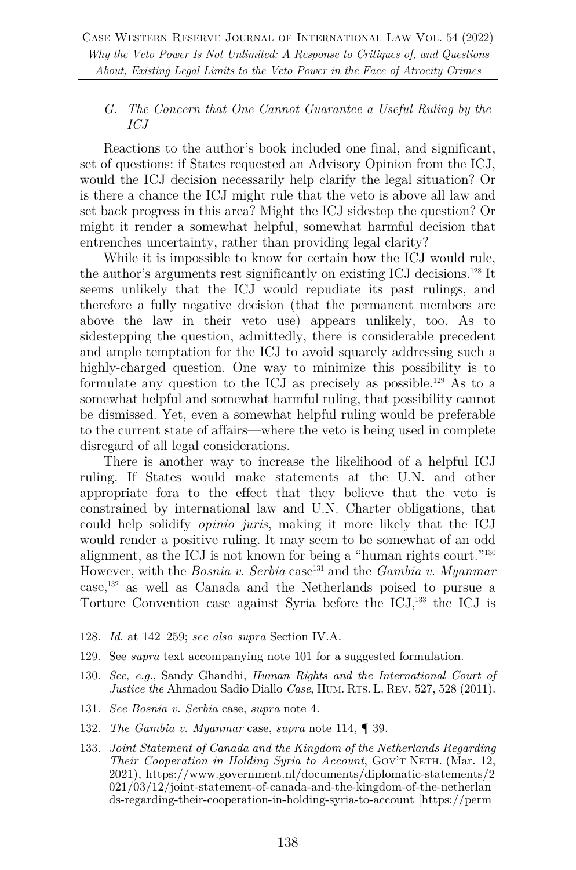## *G. The Concern that One Cannot Guarantee a Useful Ruling by the ICJ*

Reactions to the author's book included one final, and significant, set of questions: if States requested an Advisory Opinion from the ICJ, would the ICJ decision necessarily help clarify the legal situation? Or is there a chance the ICJ might rule that the veto is above all law and set back progress in this area? Might the ICJ sidestep the question? Or might it render a somewhat helpful, somewhat harmful decision that entrenches uncertainty, rather than providing legal clarity?

While it is impossible to know for certain how the ICJ would rule, the author's arguments rest significantly on existing ICJ decisions.128 It seems unlikely that the ICJ would repudiate its past rulings, and therefore a fully negative decision (that the permanent members are above the law in their veto use) appears unlikely, too. As to sidestepping the question, admittedly, there is considerable precedent and ample temptation for the ICJ to avoid squarely addressing such a highly-charged question. One way to minimize this possibility is to formulate any question to the ICJ as precisely as possible.<sup>129</sup> As to a somewhat helpful and somewhat harmful ruling, that possibility cannot be dismissed. Yet, even a somewhat helpful ruling would be preferable to the current state of affairs—where the veto is being used in complete disregard of all legal considerations.

There is another way to increase the likelihood of a helpful ICJ ruling. If States would make statements at the U.N. and other appropriate fora to the effect that they believe that the veto is constrained by international law and U.N. Charter obligations, that could help solidify *opinio juris*, making it more likely that the ICJ would render a positive ruling. It may seem to be somewhat of an odd alignment, as the ICJ is not known for being a "human rights court."130 However, with the *Bosnia v. Serbia* case<sup>131</sup> and the *Gambia v. Myanmar* case,132 as well as Canada and the Netherlands poised to pursue a Torture Convention case against Syria before the  $\text{ICJ},^{133}$  the ICJ is

- 128. *Id.* at 142–259; *see also supra* Section IV.A.
- 129. See *supra* text accompanying note 101 for a suggested formulation.
- 130. *See, e.g.*, Sandy Ghandhi, *Human Rights and the International Court of Justice the* Ahmadou Sadio Diallo *Case*, HUM. RTS. L. REV. 527, 528 (2011).
- 131*. See Bosnia v. Serbia* case, *supra* note 4.
- 132. *The Gambia v. Myanmar* case, *supra* note 114, ¶ 39.
- 133. *Joint Statement of Canada and the Kingdom of the Netherlands Regarding Their Cooperation in Holding Syria to Account*, GOV'T NETH. (Mar. 12, 2021), https://www.government.nl/documents/diplomatic-statements/2 021/03/12/joint-statement-of-canada-and-the-kingdom-of-the-netherlan ds-regarding-their-cooperation-in-holding-syria-to-account [https://perm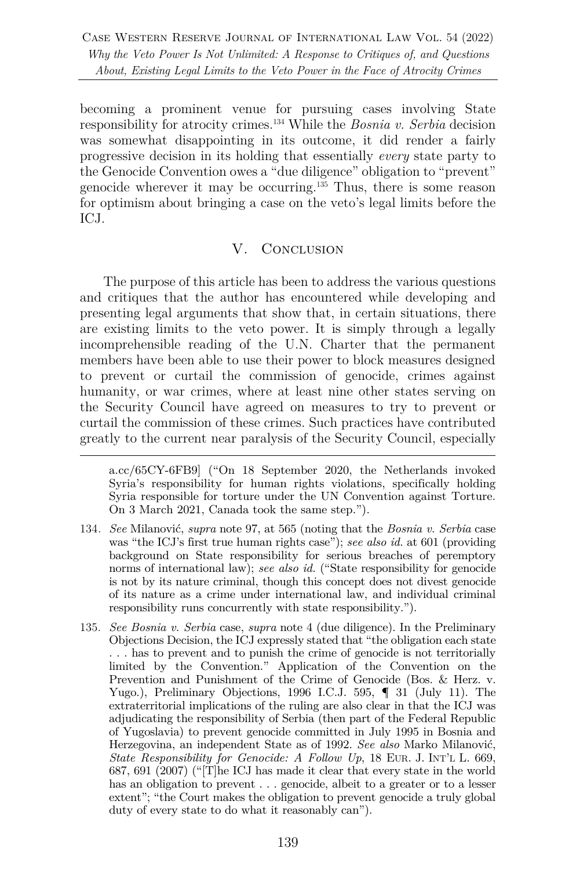becoming a prominent venue for pursuing cases involving State responsibility for atrocity crimes.134 While the *Bosnia v. Serbia* decision was somewhat disappointing in its outcome, it did render a fairly progressive decision in its holding that essentially *every* state party to the Genocide Convention owes a "due diligence" obligation to "prevent" genocide wherever it may be occurring.135 Thus, there is some reason for optimism about bringing a case on the veto's legal limits before the ICJ.

# V. Conclusion

The purpose of this article has been to address the various questions and critiques that the author has encountered while developing and presenting legal arguments that show that, in certain situations, there are existing limits to the veto power. It is simply through a legally incomprehensible reading of the U.N. Charter that the permanent members have been able to use their power to block measures designed to prevent or curtail the commission of genocide, crimes against humanity, or war crimes, where at least nine other states serving on the Security Council have agreed on measures to try to prevent or curtail the commission of these crimes. Such practices have contributed greatly to the current near paralysis of the Security Council, especially

a.cc/65CY-6FB9] ("On 18 September 2020, the Netherlands invoked Syria's responsibility for human rights violations, specifically holding Syria responsible for torture under the UN Convention against Torture. On 3 March 2021, Canada took the same step.").

- 134*. See* Milanović, *supra* note 97, at 565 (noting that the *Bosnia v. Serbia* case was "the ICJ's first true human rights case"); *see also id.* at 601 (providing background on State responsibility for serious breaches of peremptory norms of international law); *see also id.* ("State responsibility for genocide is not by its nature criminal, though this concept does not divest genocide of its nature as a crime under international law, and individual criminal responsibility runs concurrently with state responsibility.").
- 135. *See Bosnia v. Serbia* case, *supra* note 4 (due diligence). In the Preliminary Objections Decision, the ICJ expressly stated that "the obligation each state . . . has to prevent and to punish the crime of genocide is not territorially limited by the Convention." Application of the Convention on the Prevention and Punishment of the Crime of Genocide (Bos. & Herz. v. Yugo.), Preliminary Objections, 1996 I.C.J. 595,  $\P$  31 (July 11). The extraterritorial implications of the ruling are also clear in that the ICJ was adjudicating the responsibility of Serbia (then part of the Federal Republic of Yugoslavia) to prevent genocide committed in July 1995 in Bosnia and Herzegovina, an independent State as of 1992. *See also* Marko Milanović, *State Responsibility for Genocide: A Follow Up*, 18 EUR. J. INT'L L. 669, 687, 691 (2007) ("[T]he ICJ has made it clear that every state in the world has an obligation to prevent  $\ldots$  genocide, albeit to a greater or to a lesser extent"; "the Court makes the obligation to prevent genocide a truly global duty of every state to do what it reasonably can").